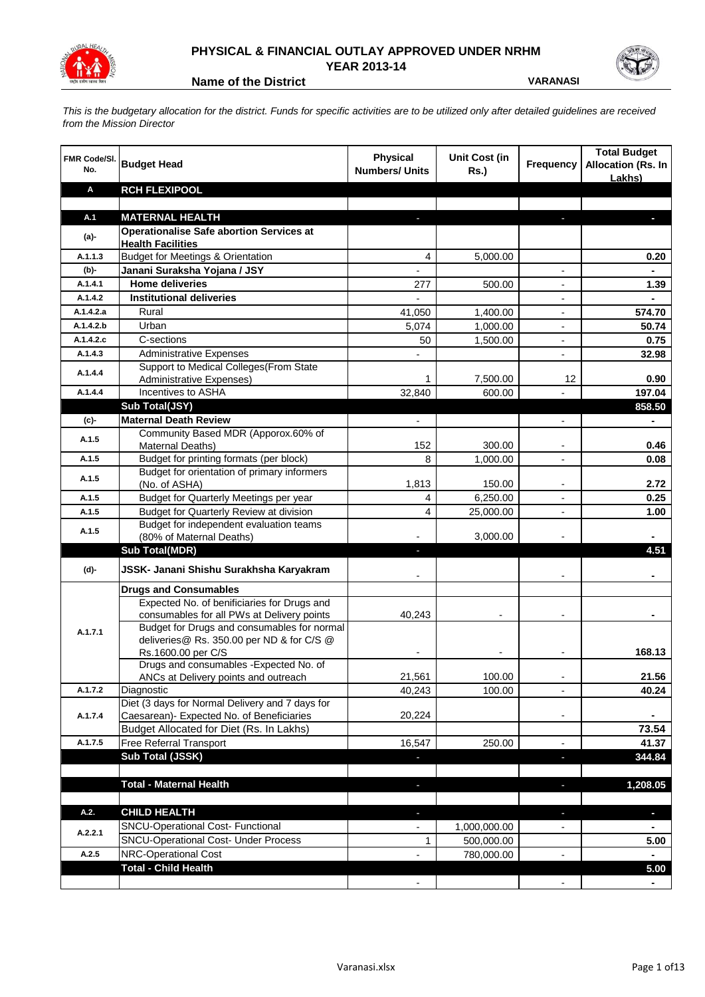

## **PHYSICAL & FINANCIAL OUTLAY APPROVED UNDER NRHM YEAR 2013-14**

**Name of the District VARANASI** 

*This is the budgetary allocation for the district. Funds for specific activities are to be utilized only after detailed guidelines are received from the Mission Director*

| FMR Code/SI.<br>No. | <b>Budget Head</b>                                                                                             | <b>Physical</b><br><b>Numbers/ Units</b> | <b>Unit Cost (in</b><br><b>Rs.)</b> | <b>Frequency</b>         | <b>Total Budget</b><br><b>Allocation (Rs. In</b><br>Lakhs) |
|---------------------|----------------------------------------------------------------------------------------------------------------|------------------------------------------|-------------------------------------|--------------------------|------------------------------------------------------------|
| A                   | <b>RCH FLEXIPOOL</b>                                                                                           |                                          |                                     |                          |                                                            |
|                     |                                                                                                                |                                          |                                     |                          |                                                            |
| A.1                 | <b>MATERNAL HEALTH</b>                                                                                         | ٠                                        |                                     | ٠                        | ı                                                          |
| (a)-                | <b>Operationalise Safe abortion Services at</b><br><b>Health Facilities</b>                                    |                                          |                                     |                          |                                                            |
| A.1.1.3             | <b>Budget for Meetings &amp; Orientation</b>                                                                   | 4                                        | 5,000.00                            |                          | 0.20                                                       |
| (b)-                | Janani Suraksha Yojana / JSY                                                                                   |                                          |                                     | $\overline{a}$           |                                                            |
| A.1.4.1             | <b>Home deliveries</b>                                                                                         | 277                                      | 500.00                              | $\overline{\phantom{a}}$ | 1.39                                                       |
| A.1.4.2             | <b>Institutional deliveries</b>                                                                                |                                          |                                     | $\overline{a}$           |                                                            |
| A.1.4.2.a           | Rural                                                                                                          | 41,050                                   | 1,400.00                            | $\overline{a}$           | 574.70                                                     |
| A.1.4.2.b           | Urban                                                                                                          | 5,074                                    | 1,000.00                            | $\overline{\phantom{0}}$ | 50.74                                                      |
| A.1.4.2.c           | C-sections                                                                                                     | 50                                       | 1,500.00                            | $\blacksquare$           | 0.75                                                       |
| A.1.4.3             | <b>Administrative Expenses</b>                                                                                 |                                          |                                     | $\overline{a}$           | 32.98                                                      |
| A.1.4.4             | Support to Medical Colleges (From State<br>Administrative Expenses)                                            |                                          | 7,500.00                            | 12                       | 0.90                                                       |
| A.1.4.4             | Incentives to ASHA                                                                                             | 32,840                                   | 600.00                              |                          | 197.04                                                     |
|                     | Sub Total(JSY)                                                                                                 |                                          |                                     |                          | 858.50                                                     |
| (c)                 | <b>Maternal Death Review</b>                                                                                   |                                          |                                     |                          | $\blacksquare$                                             |
| A.1.5               | Community Based MDR (Apporox.60% of<br>Maternal Deaths)                                                        | 152                                      | 300.00                              | $\overline{\phantom{a}}$ | 0.46                                                       |
| A.1.5               | Budget for printing formats (per block)                                                                        | 8                                        | 1,000.00                            |                          | 0.08                                                       |
| A.1.5               | Budget for orientation of primary informers<br>(No. of ASHA)                                                   | 1,813                                    | 150.00                              |                          | 2.72                                                       |
| A.1.5               | Budget for Quarterly Meetings per year                                                                         | 4                                        | 6,250.00                            | $\overline{a}$           | 0.25                                                       |
| A.1.5               | Budget for Quarterly Review at division                                                                        | 4                                        | 25,000.00                           |                          | 1.00                                                       |
| A.1.5               | Budget for independent evaluation teams<br>(80% of Maternal Deaths)                                            |                                          | 3,000.00                            |                          |                                                            |
|                     | <b>Sub Total(MDR)</b>                                                                                          |                                          |                                     |                          | 4.51                                                       |
| (d)-                | JSSK- Janani Shishu Surakhsha Karyakram                                                                        |                                          |                                     |                          |                                                            |
|                     | <b>Drugs and Consumables</b>                                                                                   |                                          |                                     |                          |                                                            |
|                     | Expected No. of benificiaries for Drugs and<br>consumables for all PWs at Delivery points                      | 40,243                                   |                                     |                          |                                                            |
| A.1.7.1             | Budget for Drugs and consumables for normal<br>deliveries@ Rs. 350.00 per ND & for C/S @<br>Rs.1600.00 per C/S | $\overline{\phantom{a}}$                 |                                     | $\overline{\phantom{a}}$ | 168.13                                                     |
|                     | Drugs and consumables - Expected No. of                                                                        |                                          |                                     |                          |                                                            |
|                     | ANCs at Delivery points and outreach                                                                           | 21,561                                   | 100.00                              | $\overline{\phantom{a}}$ | 21.56                                                      |
| A.1.7.2             | Diagnostic                                                                                                     | 40,243                                   | 100.00                              |                          | 40.24                                                      |
| A.1.7.4             | Diet (3 days for Normal Delivery and 7 days for<br>Caesarean)- Expected No. of Beneficiaries                   | 20,224                                   |                                     | -                        | $\blacksquare$                                             |
|                     | Budget Allocated for Diet (Rs. In Lakhs)                                                                       |                                          |                                     |                          | 73.54                                                      |
| A.1.7.5             | Free Referral Transport                                                                                        | 16,547                                   | 250.00                              | $\overline{\phantom{a}}$ | 41.37                                                      |
|                     | Sub Total (JSSK)                                                                                               |                                          |                                     | ٠                        | 344.84                                                     |
|                     |                                                                                                                |                                          |                                     |                          |                                                            |
|                     | <b>Total - Maternal Health</b>                                                                                 | ٠                                        |                                     |                          | 1,208.05                                                   |
| A.2.                | <b>CHILD HEALTH</b>                                                                                            |                                          |                                     |                          | $\overline{\phantom{a}}$                                   |
|                     | <b>SNCU-Operational Cost- Functional</b>                                                                       |                                          | 1,000,000.00                        |                          |                                                            |
| A.2.2.1             | SNCU-Operational Cost- Under Process                                                                           | 1                                        | 500,000.00                          |                          | 5.00                                                       |
| A.2.5               | NRC-Operational Cost                                                                                           |                                          | 780,000.00                          |                          |                                                            |
|                     | <b>Total - Child Health</b>                                                                                    |                                          |                                     |                          | 5.00                                                       |
|                     |                                                                                                                |                                          |                                     |                          |                                                            |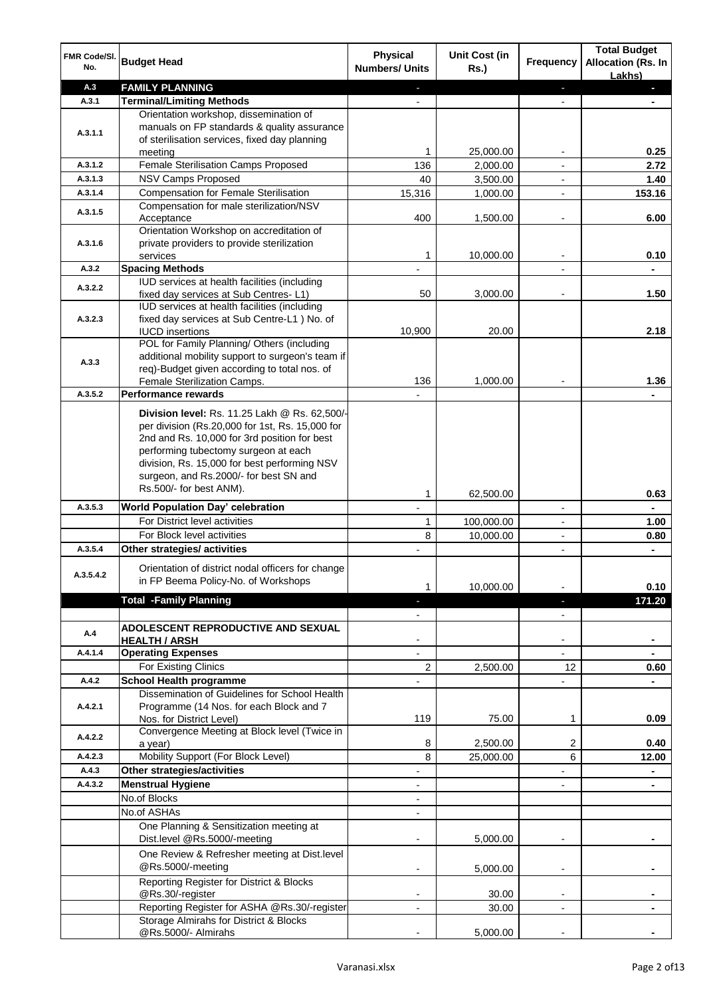| FMR Code/SI.<br>No. | <b>Budget Head</b>                                                                                                                                | Physical<br><b>Numbers/ Units</b> | <b>Unit Cost (in</b><br><b>Rs.)</b> | Frequency                | <b>Total Budget</b><br><b>Allocation (Rs. In</b><br>Lakhs) |
|---------------------|---------------------------------------------------------------------------------------------------------------------------------------------------|-----------------------------------|-------------------------------------|--------------------------|------------------------------------------------------------|
| A.3                 | <b>FAMILY PLANNING</b>                                                                                                                            | $\sim$                            |                                     | $\overline{\phantom{a}}$ | ٠                                                          |
| A.3.1               | <b>Terminal/Limiting Methods</b>                                                                                                                  |                                   |                                     |                          | ۰                                                          |
| A.3.1.1             | Orientation workshop, dissemination of<br>manuals on FP standards & quality assurance<br>of sterilisation services, fixed day planning<br>meeting |                                   | 25,000.00                           |                          | 0.25                                                       |
| A.3.1.2             | Female Sterilisation Camps Proposed                                                                                                               | 136                               | 2,000.00                            |                          | 2.72                                                       |
| A.3.1.3             | <b>NSV Camps Proposed</b>                                                                                                                         | 40                                | 3,500.00                            |                          | 1.40                                                       |
| A.3.1.4             | <b>Compensation for Female Sterilisation</b>                                                                                                      | 15,316                            | 1,000.00                            |                          | 153.16                                                     |
| A.3.1.5             | Compensation for male sterilization/NSV                                                                                                           |                                   |                                     |                          |                                                            |
| A.3.1.6             | Acceptance<br>Orientation Workshop on accreditation of<br>private providers to provide sterilization                                              | 400                               | 1,500.00                            |                          | 6.00                                                       |
|                     | services                                                                                                                                          | 1                                 | 10,000.00                           |                          | 0.10                                                       |
| A.3.2               | <b>Spacing Methods</b>                                                                                                                            |                                   |                                     |                          |                                                            |
|                     | IUD services at health facilities (including                                                                                                      |                                   |                                     |                          |                                                            |
| A.3.2.2             | fixed day services at Sub Centres-L1)                                                                                                             | 50                                | 3,000.00                            | $\overline{\phantom{a}}$ | 1.50                                                       |
|                     | IUD services at health facilities (including                                                                                                      |                                   |                                     |                          |                                                            |
| A.3.2.3             | fixed day services at Sub Centre-L1 ) No. of                                                                                                      |                                   |                                     |                          |                                                            |
|                     | <b>IUCD</b> insertions                                                                                                                            | 10,900                            | 20.00                               |                          | 2.18                                                       |
|                     | POL for Family Planning/ Others (including                                                                                                        |                                   |                                     |                          |                                                            |
| A.3.3               | additional mobility support to surgeon's team if                                                                                                  |                                   |                                     |                          |                                                            |
|                     | req)-Budget given according to total nos. of                                                                                                      |                                   |                                     |                          |                                                            |
|                     | Female Sterilization Camps.                                                                                                                       | 136                               | 1,000.00                            |                          | 1.36                                                       |
| A.3.5.2             | <b>Performance rewards</b>                                                                                                                        |                                   |                                     |                          |                                                            |
|                     | Division level: Rs. 11.25 Lakh @ Rs. 62,500/-                                                                                                     |                                   |                                     |                          |                                                            |
|                     | per division (Rs.20,000 for 1st, Rs. 15,000 for                                                                                                   |                                   |                                     |                          |                                                            |
|                     | 2nd and Rs. 10,000 for 3rd position for best                                                                                                      |                                   |                                     |                          |                                                            |
|                     | performing tubectomy surgeon at each                                                                                                              |                                   |                                     |                          |                                                            |
|                     | division, Rs. 15,000 for best performing NSV                                                                                                      |                                   |                                     |                          |                                                            |
|                     | surgeon, and Rs.2000/- for best SN and                                                                                                            |                                   |                                     |                          |                                                            |
|                     | Rs.500/- for best ANM).                                                                                                                           | 1                                 | 62,500.00                           |                          | 0.63                                                       |
| A.3.5.3             | World Population Day' celebration                                                                                                                 | L,                                |                                     | $\overline{\phantom{a}}$ |                                                            |
|                     | For District level activities                                                                                                                     | 1                                 | 100,000.00                          | $\overline{\phantom{a}}$ | 1.00                                                       |
|                     | For Block level activities                                                                                                                        | 8                                 | 10,000.00                           | $\overline{\phantom{a}}$ | 0.80                                                       |
| A.3.5.4             | Other strategies/ activities                                                                                                                      |                                   |                                     | $\blacksquare$           | $\blacksquare$                                             |
| A.3.5.4.2           | Orientation of district nodal officers for change<br>in FP Beema Policy-No. of Workshops                                                          | 1                                 | 10,000.00                           |                          | 0.10                                                       |
|                     | <b>Total -Family Planning</b>                                                                                                                     |                                   |                                     |                          | 171.20                                                     |
|                     |                                                                                                                                                   | $\overline{\phantom{m}}$          |                                     | $\overline{\phantom{a}}$ |                                                            |
| A.4                 | ADOLESCENT REPRODUCTIVE AND SEXUAL<br><b>HEALTH / ARSH</b>                                                                                        |                                   |                                     |                          |                                                            |
| A.4.1.4             | <b>Operating Expenses</b>                                                                                                                         |                                   |                                     |                          |                                                            |
|                     | For Existing Clinics                                                                                                                              | $\overline{2}$                    | 2,500.00                            | 12                       | 0.60                                                       |
| A.4.2               | <b>School Health programme</b>                                                                                                                    |                                   |                                     |                          |                                                            |
|                     | Dissemination of Guidelines for School Health                                                                                                     |                                   |                                     |                          |                                                            |
| A.4.2.1             | Programme (14 Nos. for each Block and 7<br>Nos. for District Level)                                                                               | 119                               | 75.00                               | 1                        | 0.09                                                       |
| A.4.2.2             | Convergence Meeting at Block level (Twice in<br>a year)                                                                                           | 8                                 | 2,500.00                            | 2                        | 0.40                                                       |
| A.4.2.3             | Mobility Support (For Block Level)                                                                                                                | 8                                 | 25,000.00                           | 6                        | 12.00                                                      |
| A.4.3               | Other strategies/activities                                                                                                                       | ÷                                 |                                     |                          | $\blacksquare$                                             |
| A.4.3.2             | <b>Menstrual Hygiene</b>                                                                                                                          | $\overline{\phantom{a}}$          |                                     | $\overline{a}$           | $\blacksquare$                                             |
|                     | No.of Blocks                                                                                                                                      | $\overline{\phantom{a}}$          |                                     |                          |                                                            |
|                     | No.of ASHAs                                                                                                                                       | $\overline{\phantom{a}}$          |                                     |                          |                                                            |
|                     | One Planning & Sensitization meeting at<br>Dist.level @Rs.5000/-meeting                                                                           |                                   | 5,000.00                            |                          |                                                            |
|                     | One Review & Refresher meeting at Dist.level<br>@Rs.5000/-meeting                                                                                 | $\overline{\phantom{a}}$          |                                     | $\overline{\phantom{a}}$ |                                                            |
|                     | Reporting Register for District & Blocks<br>@Rs.30/-register                                                                                      |                                   | 5,000.00                            |                          |                                                            |
|                     | Reporting Register for ASHA @Rs.30/-register                                                                                                      | ۰.                                | 30.00                               |                          |                                                            |
|                     | Storage Almirahs for District & Blocks                                                                                                            |                                   | 30.00                               |                          |                                                            |
|                     | @Rs.5000/- Almirahs                                                                                                                               |                                   | 5,000.00                            |                          |                                                            |
|                     |                                                                                                                                                   |                                   |                                     |                          |                                                            |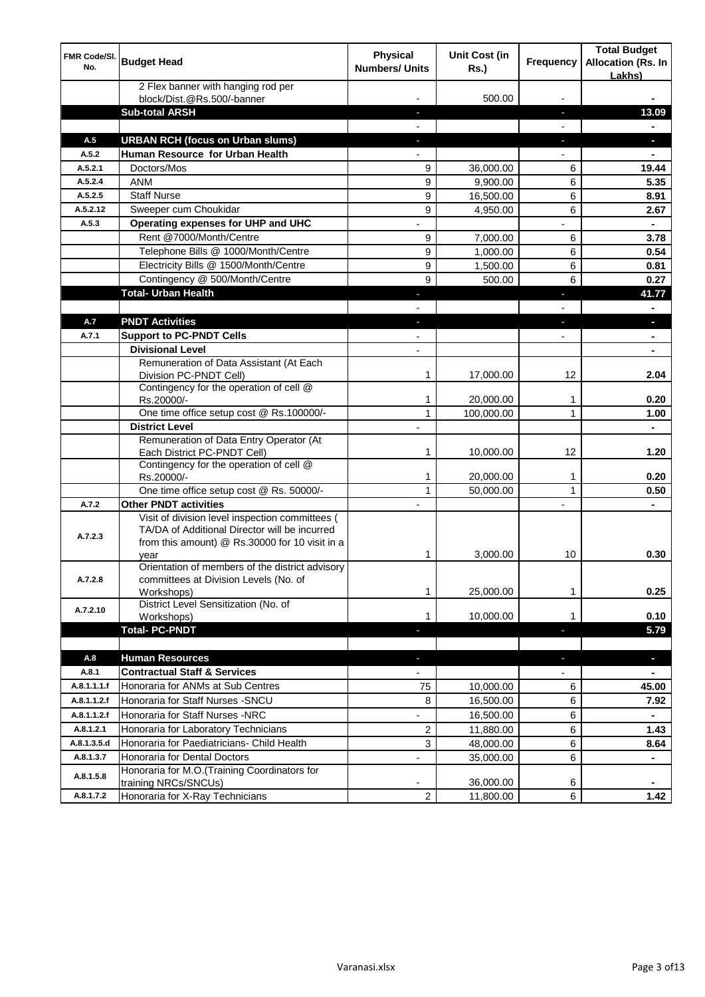| FMR Code/SI.<br>No. | <b>Budget Head</b>                                                                                                                                         | <b>Physical</b><br><b>Numbers/ Units</b> | Unit Cost (in<br><b>Rs.)</b> | <b>Frequency</b>         | <b>Total Budget</b><br><b>Allocation (Rs. In</b><br>Lakhs) |
|---------------------|------------------------------------------------------------------------------------------------------------------------------------------------------------|------------------------------------------|------------------------------|--------------------------|------------------------------------------------------------|
|                     | 2 Flex banner with hanging rod per<br>block/Dist.@Rs.500/-banner                                                                                           |                                          | 500.00                       |                          |                                                            |
|                     | <b>Sub-total ARSH</b>                                                                                                                                      |                                          |                              | ÷.                       | 13.09                                                      |
| A.5                 | <b>URBAN RCH (focus on Urban slums)</b>                                                                                                                    | J                                        |                              | a,                       | ٠                                                          |
| A.5.2               | Human Resource for Urban Health                                                                                                                            |                                          |                              |                          | $\blacksquare$                                             |
| A.5.2.1             | Doctors/Mos                                                                                                                                                | 9                                        | 36,000.00                    | 6                        | 19.44                                                      |
| A.5.2.4             | <b>ANM</b>                                                                                                                                                 | 9                                        | 9,900.00                     | 6                        | 5.35                                                       |
| A.5.2.5             | <b>Staff Nurse</b>                                                                                                                                         | 9                                        | 16,500.00                    | 6                        | 8.91                                                       |
| A.5.2.12            | Sweeper cum Choukidar                                                                                                                                      | 9                                        | 4,950.00                     | 6                        | 2.67                                                       |
| A.5.3               | Operating expenses for UHP and UHC                                                                                                                         |                                          |                              | $\overline{a}$           | $\blacksquare$                                             |
|                     | Rent @7000/Month/Centre                                                                                                                                    | 9                                        | 7,000.00                     | 6                        | 3.78                                                       |
|                     | Telephone Bills @ 1000/Month/Centre                                                                                                                        | 9                                        | 1,000.00                     | 6                        | 0.54                                                       |
|                     | Electricity Bills @ 1500/Month/Centre                                                                                                                      | 9                                        | 1,500.00                     | 6                        | 0.81                                                       |
|                     | Contingency @ 500/Month/Centre                                                                                                                             | 9                                        | 500.00                       | 6                        | 0.27                                                       |
|                     | <b>Total- Urban Health</b>                                                                                                                                 | ı                                        |                              | ä,                       | 41.77                                                      |
|                     |                                                                                                                                                            | $\blacksquare$                           |                              | $\overline{a}$           | $\blacksquare$                                             |
| A.7                 | <b>PNDT Activities</b>                                                                                                                                     | $\sim$                                   |                              | $\overline{\phantom{a}}$ | $\mathcal{L}_{\mathcal{A}}$                                |
| A.7.1               | <b>Support to PC-PNDT Cells</b>                                                                                                                            | $\overline{\phantom{a}}$                 |                              | $\overline{a}$           | $\blacksquare$                                             |
|                     | <b>Divisional Level</b><br>Remuneration of Data Assistant (At Each                                                                                         | $\overline{a}$                           |                              |                          | $\blacksquare$                                             |
|                     | Division PC-PNDT Cell)                                                                                                                                     | 1                                        | 17,000.00                    | 12                       | 2.04                                                       |
|                     | Contingency for the operation of cell @<br>Rs.20000/-                                                                                                      | 1                                        | 20,000.00                    | 1                        | 0.20                                                       |
|                     | One time office setup cost @ Rs.100000/-                                                                                                                   | 1                                        | 100,000.00                   | 1                        | 1.00                                                       |
|                     | <b>District Level</b>                                                                                                                                      | $\overline{\phantom{a}}$                 |                              |                          | $\blacksquare$                                             |
|                     | Remuneration of Data Entry Operator (At                                                                                                                    |                                          |                              |                          |                                                            |
|                     | Each District PC-PNDT Cell)<br>Contingency for the operation of cell @                                                                                     | 1                                        | 10,000.00                    | 12                       | 1.20                                                       |
|                     | Rs.20000/-                                                                                                                                                 |                                          | 20,000.00                    | 1                        | 0.20                                                       |
|                     | One time office setup cost @ Rs. 50000/-                                                                                                                   | 1                                        | 50,000.00                    | 1                        | 0.50                                                       |
| A.7.2               | <b>Other PNDT activities</b>                                                                                                                               |                                          |                              | $\overline{\phantom{0}}$ |                                                            |
| A.7.2.3             | Visit of division level inspection committees (<br>TA/DA of Additional Director will be incurred<br>from this amount) @ Rs.30000 for 10 visit in a<br>year | 1                                        | 3,000.00                     | 10                       | 0.30                                                       |
|                     | Orientation of members of the district advisory                                                                                                            |                                          |                              |                          |                                                            |
| A.7.2.8             | committees at Division Levels (No. of                                                                                                                      |                                          |                              |                          |                                                            |
|                     | Workshops)<br>District Level Sensitization (No. of                                                                                                         | 1                                        | 25,000.00                    | 1                        | 0.25                                                       |
| A.7.2.10            | Workshops)                                                                                                                                                 | 1                                        | 10,000.00                    | 1                        | 0.10                                                       |
|                     | <b>Total- PC-PNDT</b>                                                                                                                                      | ٠                                        |                              | E.                       | 5.79                                                       |
|                     |                                                                                                                                                            |                                          |                              |                          |                                                            |
| A.8                 | <b>Human Resources</b>                                                                                                                                     | ٠                                        |                              | ÷.                       | ٠                                                          |
| A.8.1               | <b>Contractual Staff &amp; Services</b>                                                                                                                    |                                          |                              |                          | $\blacksquare$                                             |
| A.8.1.1.1.f         | Honoraria for ANMs at Sub Centres                                                                                                                          | 75                                       | 10,000.00                    | 6                        | 45.00                                                      |
| A.8.1.1.2.f         | Honoraria for Staff Nurses - SNCU                                                                                                                          | 8                                        | 16,500.00                    | 6                        | 7.92                                                       |
| A.8.1.1.2.f         | Honoraria for Staff Nurses -NRC                                                                                                                            |                                          | 16,500.00                    | 6                        |                                                            |
| A.8.1.2.1           | Honoraria for Laboratory Technicians                                                                                                                       | $\overline{c}$                           | 11,880.00                    | 6                        | 1.43                                                       |
| A.8.1.3.5.d         | Honoraria for Paediatricians- Child Health                                                                                                                 | 3                                        | 48,000.00                    | 6                        | 8.64                                                       |
| A.8.1.3.7           | Honoraria for Dental Doctors                                                                                                                               |                                          | 35,000.00                    | 6                        | ۰                                                          |
| A.8.1.5.8           | Honoraria for M.O.(Training Coordinators for<br>training NRCs/SNCUs)                                                                                       | -                                        | 36,000.00                    | 6                        |                                                            |
| A.8.1.7.2           | Honoraria for X-Ray Technicians                                                                                                                            | $\overline{2}$                           | 11,800.00                    | 6                        | 1.42                                                       |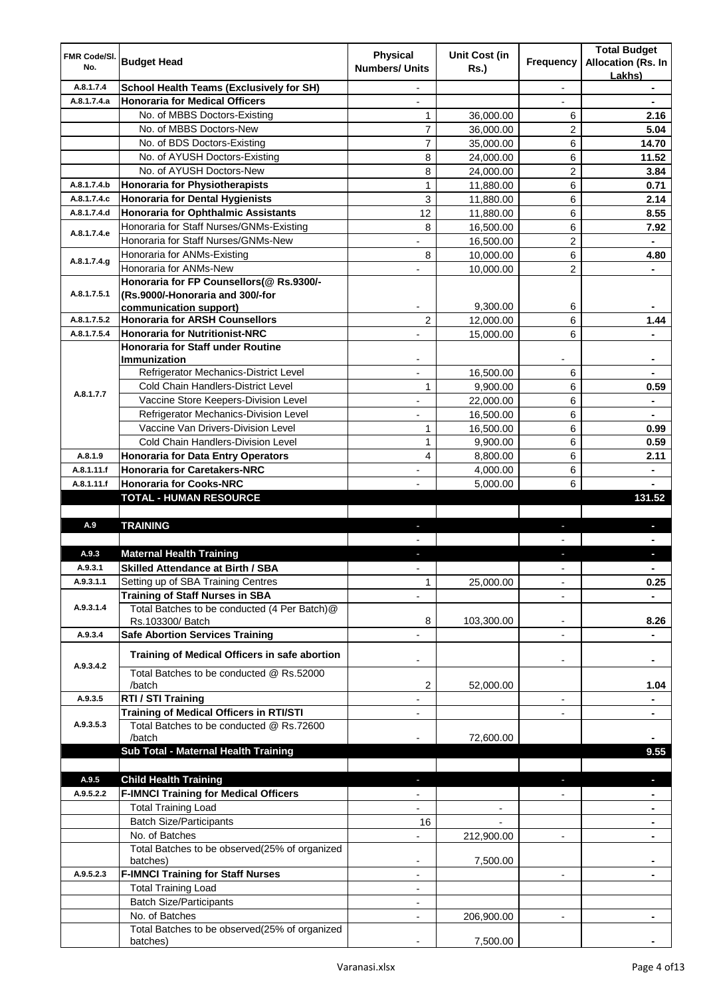| <b>FMR Code/SI.</b> |                                                                              | <b>Physical</b>          | <b>Unit Cost (in</b> |                          | <b>Total Budget</b>                 |
|---------------------|------------------------------------------------------------------------------|--------------------------|----------------------|--------------------------|-------------------------------------|
| No.                 | <b>Budget Head</b>                                                           | <b>Numbers/ Units</b>    | <b>Rs.)</b>          | <b>Frequency</b>         | <b>Allocation (Rs. In</b><br>Lakhs) |
| A.8.1.7.4           | <b>School Health Teams (Exclusively for SH)</b>                              | $\overline{\phantom{a}}$ |                      | $\overline{\phantom{a}}$ | $\blacksquare$                      |
| A.8.1.7.4.a         | <b>Honoraria for Medical Officers</b>                                        |                          |                      | $\overline{\phantom{a}}$ | $\blacksquare$                      |
|                     | No. of MBBS Doctors-Existing                                                 | 1                        | 36,000.00            | 6                        | 2.16                                |
|                     | No. of MBBS Doctors-New                                                      | 7                        | 36,000.00            | 2                        | 5.04                                |
|                     | No. of BDS Doctors-Existing                                                  | 7                        | 35,000.00            | 6                        | 14.70                               |
|                     | No. of AYUSH Doctors-Existing                                                | 8                        | 24,000.00            | 6                        | 11.52                               |
|                     | No. of AYUSH Doctors-New                                                     | 8                        | 24,000.00            | $\overline{c}$           | 3.84                                |
| A.8.1.7.4.b         | <b>Honoraria for Physiotherapists</b>                                        | 1                        | 11.880.00            | 6                        | 0.71                                |
| A.8.1.7.4.c         | <b>Honoraria for Dental Hygienists</b>                                       | 3                        | 11,880.00            | 6                        | 2.14                                |
| A.8.1.7.4.d         | <b>Honoraria for Ophthalmic Assistants</b>                                   | 12                       | 11,880.00            | 6                        | 8.55                                |
| A.8.1.7.4.e         | Honoraria for Staff Nurses/GNMs-Existing                                     | 8                        | 16,500.00            | 6                        | 7.92                                |
|                     | Honoraria for Staff Nurses/GNMs-New                                          |                          | 16,500.00            | 2                        |                                     |
| A.8.1.7.4.g         | Honoraria for ANMs-Existing                                                  | 8                        | 10,000.00            | 6                        | 4.80                                |
|                     | Honoraria for ANMs-New                                                       |                          | 10,000.00            | $\overline{2}$           |                                     |
| A.8.1.7.5.1         | Honoraria for FP Counsellors(@ Rs.9300/-<br>(Rs.9000/-Honoraria and 300/-for |                          |                      |                          |                                     |
|                     | communication support)                                                       |                          | 9,300.00             | 6                        |                                     |
| A.8.1.7.5.2         | <b>Honoraria for ARSH Counsellors</b>                                        | 2                        | 12,000.00            | 6                        | 1.44                                |
| A.8.1.7.5.4         | <b>Honoraria for Nutritionist-NRC</b>                                        |                          | 15,000.00            | 6                        |                                     |
|                     | <b>Honoraria for Staff under Routine</b>                                     |                          |                      |                          |                                     |
|                     | Immunization                                                                 |                          |                      |                          |                                     |
|                     | Refrigerator Mechanics-District Level                                        |                          | 16,500.00            | 6                        |                                     |
| A.8.1.7.7           | Cold Chain Handlers-District Level                                           | 1                        | 9,900.00             | 6                        | 0.59                                |
|                     | Vaccine Store Keepers-Division Level                                         | $\frac{1}{2}$            | 22,000.00            | 6                        | $\blacksquare$                      |
|                     | Refrigerator Mechanics-Division Level                                        | L,                       | 16,500.00            | 6                        | $\blacksquare$                      |
|                     | Vaccine Van Drivers-Division Level                                           | 1                        | 16,500.00            | 6                        | 0.99                                |
|                     | Cold Chain Handlers-Division Level                                           | 1                        | 9,900.00             | 6                        | 0.59                                |
| A.8.1.9             | <b>Honoraria for Data Entry Operators</b>                                    | 4                        | 8,800.00             | 6                        | 2.11                                |
| A.8.1.11.f          | <b>Honoraria for Caretakers-NRC</b>                                          |                          | 4,000.00             | 6                        |                                     |
| A.8.1.11.f          | <b>Honoraria for Cooks-NRC</b>                                               |                          | 5,000.00             | 6                        | 131.52                              |
|                     | <b>TOTAL - HUMAN RESOURCE</b>                                                |                          |                      |                          |                                     |
| A.9                 | <b>TRAINING</b>                                                              |                          |                      | $\overline{\phantom{a}}$ |                                     |
|                     |                                                                              |                          |                      |                          |                                     |
| A.9.3               | <b>Maternal Health Training</b>                                              |                          |                      |                          |                                     |
| A.9.3.1             | <b>Skilled Attendance at Birth / SBA</b>                                     |                          |                      |                          |                                     |
| A.9.3.1.1           | Setting up of SBA Training Centres                                           | 1                        | 25,000.00            |                          | 0.25                                |
|                     | <b>Training of Staff Nurses in SBA</b>                                       |                          |                      |                          |                                     |
| A.9.3.1.4           | Total Batches to be conducted (4 Per Batch)@                                 |                          |                      |                          |                                     |
|                     | Rs.103300/ Batch                                                             | 8                        | 103,300.00           | $\overline{\phantom{a}}$ | 8.26                                |
| A.9.3.4             | <b>Safe Abortion Services Training</b>                                       | L,                       |                      | $\overline{a}$           | $\blacksquare$                      |
|                     | Training of Medical Officers in safe abortion                                |                          |                      |                          | ۰                                   |
| A.9.3.4.2           | Total Batches to be conducted @ Rs.52000                                     |                          |                      |                          |                                     |
|                     | /batch                                                                       | 2                        | 52,000.00            |                          | 1.04                                |
| A.9.3.5             | RTI / STI Training                                                           |                          |                      | $\blacksquare$           |                                     |
|                     | <b>Training of Medical Officers in RTI/STI</b>                               | $\overline{\phantom{a}}$ |                      | $\overline{\phantom{a}}$ | $\blacksquare$                      |
| A.9.3.5.3           | Total Batches to be conducted @ Rs.72600                                     |                          |                      |                          |                                     |
|                     | /batch                                                                       |                          | 72,600.00            |                          |                                     |
|                     | Sub Total - Maternal Health Training                                         |                          |                      |                          | 9.55                                |
| A.9.5               | <b>Child Health Training</b>                                                 |                          |                      |                          |                                     |
| A.9.5.2.2           |                                                                              |                          |                      |                          |                                     |
|                     |                                                                              |                          |                      |                          |                                     |
|                     | <b>F-IMNCI Training for Medical Officers</b>                                 |                          |                      |                          |                                     |
|                     | <b>Total Training Load</b>                                                   |                          |                      |                          |                                     |
|                     | <b>Batch Size/Participants</b>                                               | 16                       |                      |                          |                                     |
|                     | No. of Batches                                                               |                          | 212,900.00           |                          |                                     |
|                     | Total Batches to be observed(25% of organized<br>batches)                    |                          | 7,500.00             |                          |                                     |
| A.9.5.2.3           | <b>F-IMNCI Training for Staff Nurses</b>                                     | $\overline{\phantom{0}}$ |                      | $\overline{\phantom{a}}$ | $\blacksquare$                      |
|                     | <b>Total Training Load</b>                                                   |                          |                      |                          |                                     |
|                     | <b>Batch Size/Participants</b>                                               |                          |                      |                          |                                     |
|                     | No. of Batches                                                               |                          | 206,900.00           |                          |                                     |
|                     | Total Batches to be observed(25% of organized<br>batches)                    |                          | 7,500.00             |                          |                                     |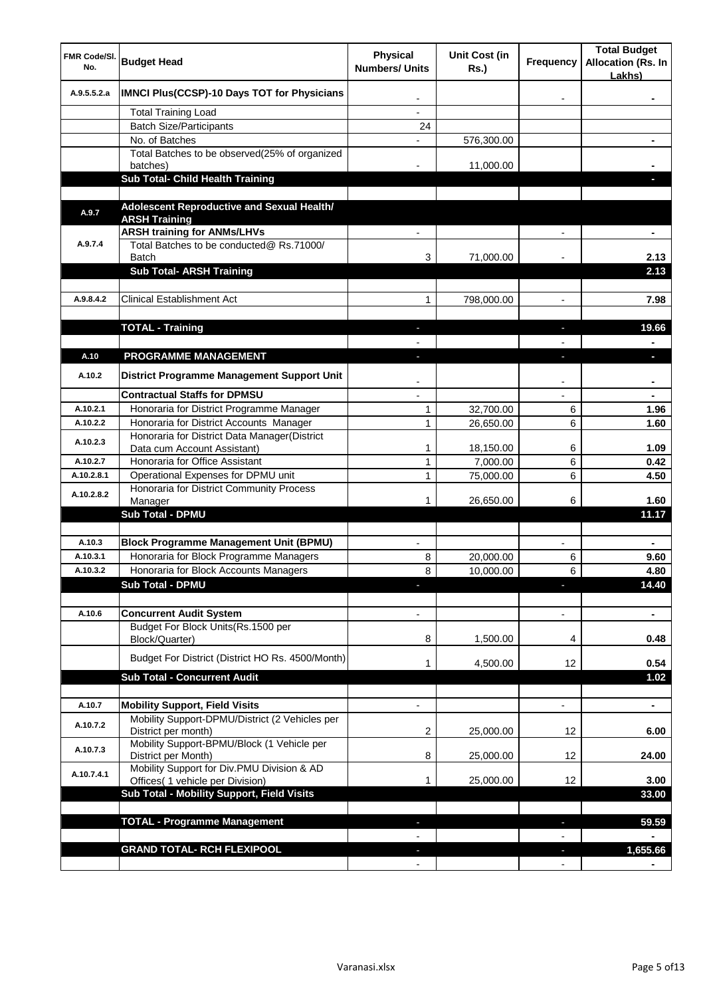| FMR Code/SI.<br>No.  | <b>Budget Head</b>                                                                      | <b>Physical</b><br><b>Numbers/ Units</b> | <b>Unit Cost (in</b><br><b>Rs.</b> ) | <b>Frequency</b>         | <b>Total Budget</b><br><b>Allocation (Rs. In</b><br>Lakhs) |
|----------------------|-----------------------------------------------------------------------------------------|------------------------------------------|--------------------------------------|--------------------------|------------------------------------------------------------|
| A.9.5.5.2.a          | <b>IMNCI Plus(CCSP)-10 Days TOT for Physicians</b>                                      |                                          |                                      |                          |                                                            |
|                      | <b>Total Training Load</b>                                                              |                                          |                                      |                          |                                                            |
|                      | <b>Batch Size/Participants</b>                                                          | 24                                       |                                      |                          |                                                            |
|                      | No. of Batches                                                                          |                                          | 576,300.00                           |                          |                                                            |
|                      | Total Batches to be observed(25% of organized<br>batches)                               |                                          | 11,000.00                            |                          |                                                            |
|                      | Sub Total- Child Health Training                                                        |                                          |                                      |                          |                                                            |
|                      |                                                                                         |                                          |                                      |                          |                                                            |
| A.9.7                | Adolescent Reproductive and Sexual Health/<br><b>ARSH Training</b>                      |                                          |                                      |                          |                                                            |
|                      | <b>ARSH training for ANMs/LHVs</b>                                                      |                                          |                                      |                          | $\blacksquare$                                             |
| A.9.7.4              | Total Batches to be conducted@ Rs.71000/<br><b>Batch</b>                                | 3                                        | 71,000.00                            |                          | 2.13                                                       |
|                      | <b>Sub Total- ARSH Training</b>                                                         |                                          |                                      |                          | 2.13                                                       |
|                      |                                                                                         |                                          |                                      |                          |                                                            |
| A.9.8.4.2            | <b>Clinical Establishment Act</b>                                                       | 1                                        | 798,000.00                           | $\blacksquare$           | 7.98                                                       |
|                      |                                                                                         |                                          |                                      |                          |                                                            |
|                      | <b>TOTAL - Training</b>                                                                 | $\blacksquare$<br>$\overline{a}$         |                                      | $\overline{\phantom{a}}$ | 19.66                                                      |
| A.10                 | PROGRAMME MANAGEMENT                                                                    | ı                                        |                                      | J.                       | b.                                                         |
|                      |                                                                                         |                                          |                                      |                          |                                                            |
| A.10.2               | District Programme Management Support Unit                                              |                                          |                                      |                          |                                                            |
|                      | <b>Contractual Staffs for DPMSU</b>                                                     |                                          |                                      |                          |                                                            |
| A.10.2.1<br>A.10.2.2 | Honoraria for District Programme Manager                                                | 1                                        | 32,700.00                            | 6                        | 1.96                                                       |
|                      | Honoraria for District Accounts Manager<br>Honoraria for District Data Manager(District | 1                                        | 26,650.00                            | 6                        | 1.60                                                       |
| A.10.2.3             | Data cum Account Assistant)                                                             | 1                                        | 18,150.00                            | 6                        | 1.09                                                       |
| A.10.2.7             | Honoraria for Office Assistant                                                          | 1                                        | 7,000.00                             | 6                        | 0.42                                                       |
| A.10.2.8.1           | Operational Expenses for DPMU unit                                                      | 1                                        | 75,000.00                            | 6                        | 4.50                                                       |
| A.10.2.8.2           | Honoraria for District Community Process<br>Manager                                     |                                          | 26,650.00                            | 6                        | 1.60                                                       |
|                      | <b>Sub Total - DPMU</b>                                                                 |                                          |                                      |                          | 11.17                                                      |
|                      |                                                                                         |                                          |                                      |                          |                                                            |
| A.10.3               | <b>Block Programme Management Unit (BPMU)</b>                                           |                                          |                                      |                          |                                                            |
| A.10.3.1             | Honoraria for Block Programme Managers                                                  | 8                                        | 20,000.00                            | 6                        | 9.60                                                       |
| A.10.3.2             | Honoraria for Block Accounts Managers                                                   | $\bf{8}$                                 | 10,000.00                            | 6                        | 4.80                                                       |
|                      | Sub Total - DPMU                                                                        |                                          |                                      |                          | 14.40                                                      |
| A.10.6               | <b>Concurrent Audit System</b>                                                          |                                          |                                      |                          |                                                            |
|                      | Budget For Block Units(Rs.1500 per                                                      |                                          |                                      |                          |                                                            |
|                      | Block/Quarter)                                                                          | 8                                        | 1,500.00                             | 4                        | 0.48                                                       |
|                      | Budget For District (District HO Rs. 4500/Month)                                        |                                          | 4,500.00                             | 12                       | 0.54                                                       |
|                      | <b>Sub Total - Concurrent Audit</b>                                                     |                                          |                                      |                          | 1.02                                                       |
|                      |                                                                                         |                                          |                                      |                          |                                                            |
| A.10.7               | <b>Mobility Support, Field Visits</b>                                                   |                                          |                                      | $\overline{\phantom{0}}$ | $\blacksquare$                                             |
| A.10.7.2             | Mobility Support-DPMU/District (2 Vehicles per<br>District per month)                   | 2                                        | 25,000.00                            | 12                       | 6.00                                                       |
| A.10.7.3             | Mobility Support-BPMU/Block (1 Vehicle per<br>District per Month)                       | 8                                        | 25,000.00                            | 12                       | 24.00                                                      |
| A.10.7.4.1           | Mobility Support for Div.PMU Division & AD<br>Offices( 1 vehicle per Division)          |                                          | 25,000.00                            | 12                       | 3.00                                                       |
|                      | Sub Total - Mobility Support, Field Visits                                              |                                          |                                      |                          | 33.00                                                      |
|                      |                                                                                         |                                          |                                      |                          |                                                            |
|                      | <b>TOTAL - Programme Management</b>                                                     |                                          |                                      |                          | 59.59                                                      |
|                      |                                                                                         |                                          |                                      |                          |                                                            |
|                      | <b>GRAND TOTAL- RCH FLEXIPOOL</b>                                                       |                                          |                                      |                          | 1,655.66                                                   |
|                      |                                                                                         |                                          |                                      |                          |                                                            |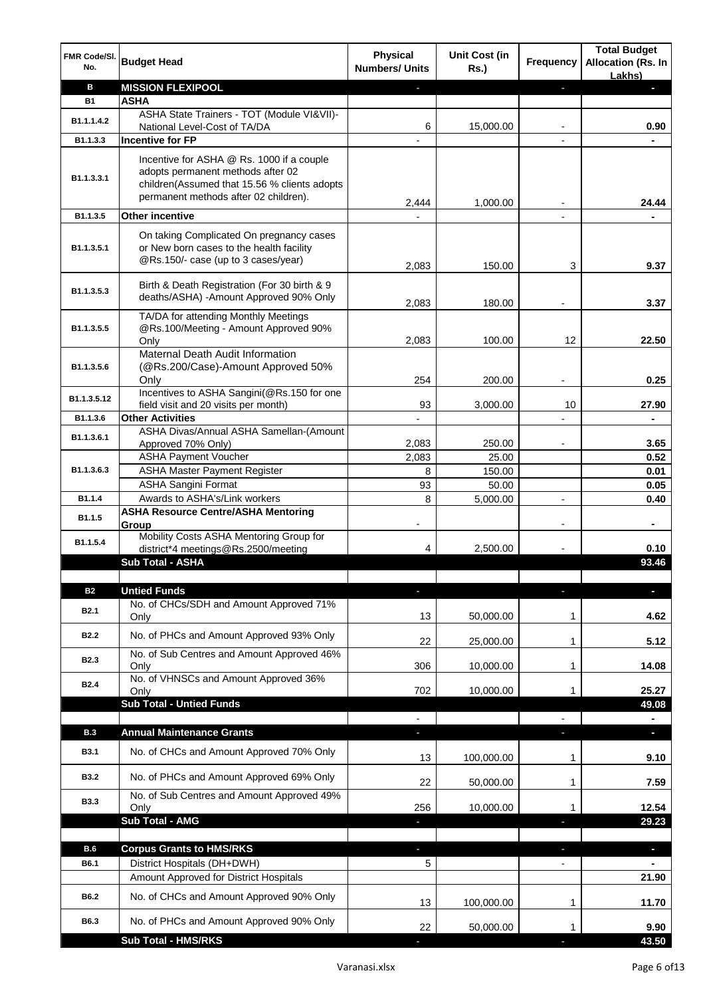| FMR Code/SI.<br>No.        | <b>Budget Head</b>                                                                                                                                                      | <b>Physical</b><br><b>Numbers/ Units</b> | Unit Cost (in<br><b>Rs.)</b> | Frequency      | <b>Total Budget</b><br><b>Allocation (Rs. In</b><br>Lakhs) |
|----------------------------|-------------------------------------------------------------------------------------------------------------------------------------------------------------------------|------------------------------------------|------------------------------|----------------|------------------------------------------------------------|
| в                          | <b>MISSION FLEXIPOOL</b>                                                                                                                                                |                                          |                              | J,             | o.                                                         |
| <b>B1</b>                  | <b>ASHA</b>                                                                                                                                                             |                                          |                              |                |                                                            |
| B1.1.1.4.2                 | ASHA State Trainers - TOT (Module VI&VII)-                                                                                                                              |                                          |                              |                |                                                            |
|                            | National Level-Cost of TA/DA                                                                                                                                            | 6                                        | 15,000.00                    |                | 0.90                                                       |
| B1.1.3.3                   | <b>Incentive for FP</b>                                                                                                                                                 |                                          |                              |                |                                                            |
| B1.1.3.3.1                 | Incentive for ASHA @ Rs. 1000 if a couple<br>adopts permanent methods after 02<br>children(Assumed that 15.56 % clients adopts<br>permanent methods after 02 children). | 2,444                                    | 1,000.00                     |                | 24.44                                                      |
| B1.1.3.5                   | <b>Other incentive</b>                                                                                                                                                  |                                          |                              |                |                                                            |
|                            |                                                                                                                                                                         |                                          |                              |                |                                                            |
| B <sub>1.1</sub> , 3, 5, 1 | On taking Complicated On pregnancy cases<br>or New born cases to the health facility<br>@Rs.150/- case (up to 3 cases/year)                                             | 2,083                                    | 150.00                       | 3              | 9.37                                                       |
| B1.1.3.5.3                 | Birth & Death Registration (For 30 birth & 9<br>deaths/ASHA) -Amount Approved 90% Only                                                                                  | 2.083                                    | 180.00                       |                | 3.37                                                       |
| B1.1.3.5.5                 | TA/DA for attending Monthly Meetings<br>@Rs.100/Meeting - Amount Approved 90%<br>Only                                                                                   | 2,083                                    | 100.00                       | 12             | 22.50                                                      |
| B <sub>1.1</sub> , 3, 5, 6 | Maternal Death Audit Information<br>(@Rs.200/Case)-Amount Approved 50%<br>Only                                                                                          | 254                                      | 200.00                       | $\blacksquare$ | 0.25                                                       |
| B1.1.3.5.12                | Incentives to ASHA Sangini(@Rs.150 for one                                                                                                                              | 93                                       |                              |                |                                                            |
| B1.1.3.6                   | field visit and 20 visits per month)<br><b>Other Activities</b>                                                                                                         |                                          | 3,000.00                     | 10             | 27.90                                                      |
|                            | ASHA Divas/Annual ASHA Samellan-(Amount                                                                                                                                 |                                          |                              |                |                                                            |
| B1.1.3.6.1                 | Approved 70% Only)                                                                                                                                                      | 2,083                                    | 250.00                       | $\overline{a}$ | 3.65                                                       |
|                            | <b>ASHA Payment Voucher</b>                                                                                                                                             | 2,083                                    | 25.00                        |                | 0.52                                                       |
| B1.1.3.6.3                 | <b>ASHA Master Payment Register</b>                                                                                                                                     | 8                                        | 150.00                       |                | 0.01                                                       |
|                            | <b>ASHA Sangini Format</b>                                                                                                                                              | 93                                       | 50.00                        |                | 0.05                                                       |
| B1.1.4                     | Awards to ASHA's/Link workers                                                                                                                                           | 8                                        | 5,000.00                     | $\blacksquare$ | 0.40                                                       |
| B1.1.5                     | <b>ASHA Resource Centre/ASHA Mentoring</b><br>Group                                                                                                                     |                                          |                              |                |                                                            |
| B1.1.5.4                   | Mobility Costs ASHA Mentoring Group for<br>district*4 meetings@Rs.2500/meeting                                                                                          | 4                                        | 2,500.00                     |                | 0.10                                                       |
|                            | Sub Total - ASHA                                                                                                                                                        |                                          |                              |                | 93.46                                                      |
|                            |                                                                                                                                                                         |                                          |                              |                |                                                            |
| <b>B2</b>                  | <b>Untied Funds</b>                                                                                                                                                     | J,                                       |                              | r              | J,                                                         |
|                            | No. of CHCs/SDH and Amount Approved 71%                                                                                                                                 |                                          |                              |                |                                                            |
| <b>B2.1</b>                | Only                                                                                                                                                                    | 13                                       | 50,000.00                    | 1              | 4.62                                                       |
| <b>B2.2</b>                | No. of PHCs and Amount Approved 93% Only                                                                                                                                |                                          |                              |                |                                                            |
|                            | No. of Sub Centres and Amount Approved 46%                                                                                                                              | 22                                       | 25,000.00                    | 1              | 5.12                                                       |
| <b>B2.3</b>                | Only                                                                                                                                                                    | 306                                      | 10.000.00                    | 1              | 14.08                                                      |
| <b>B2.4</b>                | No. of VHNSCs and Amount Approved 36%<br>Only                                                                                                                           | 702                                      | 10,000.00                    | 1              | 25.27                                                      |
|                            | <b>Sub Total - Untied Funds</b>                                                                                                                                         |                                          |                              |                | 49.08                                                      |
|                            |                                                                                                                                                                         |                                          |                              |                |                                                            |
| <b>B.3</b>                 | <b>Annual Maintenance Grants</b>                                                                                                                                        |                                          |                              |                | ×.                                                         |
| <b>B3.1</b>                | No. of CHCs and Amount Approved 70% Only                                                                                                                                | 13                                       | 100,000.00                   | 1              | 9.10                                                       |
| <b>B3.2</b>                | No. of PHCs and Amount Approved 69% Only                                                                                                                                | 22                                       | 50,000.00                    | 1              | 7.59                                                       |
| <b>B3.3</b>                | No. of Sub Centres and Amount Approved 49%<br>Only                                                                                                                      | 256                                      | 10,000.00                    | 1              | 12.54                                                      |
|                            | Sub Total - AMG                                                                                                                                                         |                                          |                              |                | 29.23                                                      |
|                            |                                                                                                                                                                         |                                          |                              |                |                                                            |
| B.6                        | <b>Corpus Grants to HMS/RKS</b>                                                                                                                                         | ٠                                        |                              | J,             | $\overline{\phantom{a}}$                                   |
| B6.1                       | District Hospitals (DH+DWH)                                                                                                                                             | 5                                        |                              |                |                                                            |
|                            | Amount Approved for District Hospitals                                                                                                                                  |                                          |                              |                | 21.90                                                      |
| B6.2                       | No. of CHCs and Amount Approved 90% Only                                                                                                                                |                                          |                              |                |                                                            |
|                            |                                                                                                                                                                         | 13                                       | 100,000.00                   | 1              | 11.70                                                      |
| B6.3                       | No. of PHCs and Amount Approved 90% Only                                                                                                                                | 22                                       | 50,000.00                    | 1              | 9.90                                                       |
|                            | <b>Sub Total - HMS/RKS</b>                                                                                                                                              |                                          |                              |                | 43.50                                                      |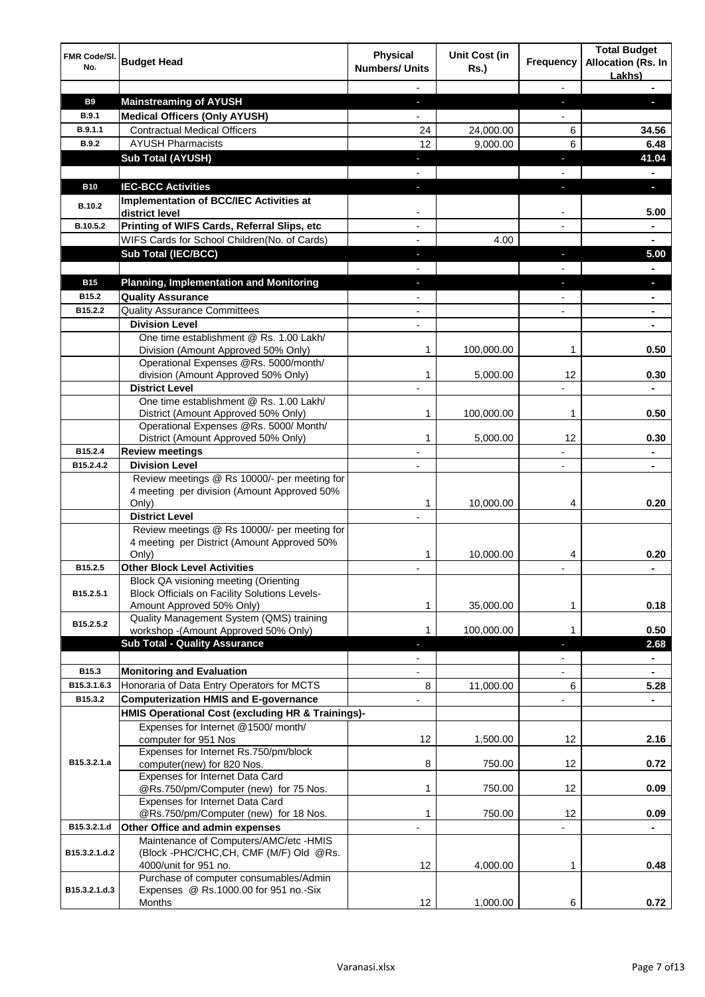| FMR Code/SI.<br>No. | <b>Budget Head</b>                                                           | <b>Physical</b><br><b>Numbers/ Units</b> | <b>Unit Cost (in</b><br><b>Rs.)</b> | <b>Frequency</b>                           | <b>Total Budget</b><br><b>Allocation (Rs. In</b><br>Lakhs) |
|---------------------|------------------------------------------------------------------------------|------------------------------------------|-------------------------------------|--------------------------------------------|------------------------------------------------------------|
|                     |                                                                              |                                          |                                     |                                            |                                                            |
| <b>B9</b>           | <b>Mainstreaming of AYUSH</b>                                                | J,                                       |                                     | ٠                                          | a.                                                         |
| <b>B.9.1</b>        | <b>Medical Officers (Only AYUSH)</b>                                         |                                          |                                     |                                            |                                                            |
| B.9.1.1             | <b>Contractual Medical Officers</b>                                          | 24                                       | 24,000.00                           | 6                                          | 34.56                                                      |
| <b>B.9.2</b>        | <b>AYUSH Pharmacists</b>                                                     | 12                                       | 9,000.00                            | 6                                          | 6.48                                                       |
|                     | <b>Sub Total (AYUSH)</b>                                                     |                                          |                                     | ×                                          | 41.04                                                      |
|                     |                                                                              |                                          |                                     |                                            |                                                            |
| <b>B10</b>          | <b>IEC-BCC Activities</b>                                                    | ı                                        |                                     | ٠                                          | o,                                                         |
| B.10.2              | Implementation of BCC/IEC Activities at<br>district level                    |                                          |                                     |                                            | 5.00                                                       |
| B.10.5.2            | Printing of WIFS Cards, Referral Slips, etc                                  |                                          |                                     |                                            |                                                            |
|                     | WIFS Cards for School Children(No. of Cards)                                 |                                          | 4.00                                |                                            |                                                            |
|                     | <b>Sub Total (IEC/BCC)</b>                                                   | J,                                       |                                     | $\overline{\phantom{a}}$                   | 5.00                                                       |
|                     |                                                                              |                                          |                                     |                                            |                                                            |
| <b>B15</b>          | <b>Planning, Implementation and Monitoring</b>                               |                                          |                                     | J.                                         | ×.                                                         |
| B15.2               | <b>Quality Assurance</b>                                                     |                                          |                                     |                                            |                                                            |
| B15.2.2             | <b>Quality Assurance Committees</b>                                          |                                          |                                     |                                            |                                                            |
|                     | <b>Division Level</b>                                                        |                                          |                                     |                                            |                                                            |
|                     | One time establishment @ Rs. 1.00 Lakh/                                      |                                          |                                     |                                            |                                                            |
|                     | Division (Amount Approved 50% Only)<br>Operational Expenses @Rs. 5000/month/ | 1                                        | 100,000.00                          | 1                                          | 0.50                                                       |
|                     | division (Amount Approved 50% Only)                                          | 1                                        | 5,000.00                            | 12                                         | 0.30                                                       |
|                     | <b>District Level</b>                                                        |                                          |                                     |                                            |                                                            |
|                     | One time establishment @ Rs. 1.00 Lakh/                                      |                                          |                                     |                                            |                                                            |
|                     | District (Amount Approved 50% Only)                                          | 1                                        | 100,000.00                          | 1                                          | 0.50                                                       |
|                     | Operational Expenses @Rs. 5000/ Month/                                       |                                          |                                     |                                            |                                                            |
|                     | District (Amount Approved 50% Only)                                          | 1                                        | 5,000.00                            | 12                                         | 0.30                                                       |
| B15.2.4             | <b>Review meetings</b>                                                       |                                          |                                     |                                            |                                                            |
| B15.2.4.2           | <b>Division Level</b>                                                        | $\overline{a}$                           |                                     | $\overline{a}$                             | $\blacksquare$                                             |
|                     | Review meetings @ Rs 10000/- per meeting for                                 |                                          |                                     |                                            |                                                            |
|                     | 4 meeting per division (Amount Approved 50%<br>Only)                         | 1                                        | 10,000.00                           | 4                                          | 0.20                                                       |
|                     | <b>District Level</b>                                                        |                                          |                                     |                                            |                                                            |
|                     | Review meetings @ Rs 10000/- per meeting for                                 |                                          |                                     |                                            |                                                            |
|                     | 4 meeting per District (Amount Approved 50%<br>Only)                         |                                          | 10,000.00                           | 4                                          | 0.20                                                       |
| B <sub>15.2.5</sub> | <b>Other Block Level Activities</b>                                          |                                          |                                     |                                            | $\blacksquare$                                             |
|                     | Block QA visioning meeting (Orienting                                        |                                          |                                     |                                            |                                                            |
| B15.2.5.1           | <b>Block Officials on Facility Solutions Levels-</b>                         |                                          |                                     |                                            |                                                            |
|                     | Amount Approved 50% Only)                                                    | 1                                        | 35,000.00                           | 1                                          | 0.18                                                       |
| B15.2.5.2           | Quality Management System (QMS) training                                     |                                          |                                     |                                            |                                                            |
|                     | workshop - (Amount Approved 50% Only)                                        | 1                                        | 100,000.00                          | 1                                          | 0.50                                                       |
|                     | <b>Sub Total - Quality Assurance</b>                                         | ı                                        |                                     | E.                                         | 2.68                                                       |
| B15.3               | <b>Monitoring and Evaluation</b>                                             | $\overline{\phantom{a}}$<br>L,           |                                     | $\overline{\phantom{a}}$<br>$\overline{a}$ | $\blacksquare$<br>$\blacksquare$                           |
| B15.3.1.6.3         | Honoraria of Data Entry Operators for MCTS                                   | 8                                        |                                     | 6                                          | 5.28                                                       |
| B15.3.2             | <b>Computerization HMIS and E-governance</b>                                 |                                          | 11,000.00                           |                                            | $\blacksquare$                                             |
|                     | HMIS Operational Cost (excluding HR & Trainings)-                            |                                          |                                     |                                            |                                                            |
|                     | Expenses for Internet @1500/month/                                           |                                          |                                     |                                            |                                                            |
|                     | computer for 951 Nos                                                         | 12                                       | 1,500.00                            | 12                                         | 2.16                                                       |
|                     | Expenses for Internet Rs.750/pm/block                                        |                                          |                                     |                                            |                                                            |
| B15.3.2.1.a         | computer(new) for 820 Nos.                                                   | 8                                        | 750.00                              | 12                                         | 0.72                                                       |
|                     | Expenses for Internet Data Card                                              |                                          |                                     |                                            |                                                            |
|                     | @Rs.750/pm/Computer (new) for 75 Nos.                                        | 1                                        | 750.00                              | 12                                         | 0.09                                                       |
|                     | Expenses for Internet Data Card<br>@Rs.750/pm/Computer (new) for 18 Nos.     | 1                                        | 750.00                              | 12                                         | 0.09                                                       |
| B15.3.2.1.d         | Other Office and admin expenses                                              | L,                                       |                                     |                                            |                                                            |
|                     | Maintenance of Computers/AMC/etc -HMIS                                       |                                          |                                     |                                            |                                                            |
| B15.3.2.1.d.2       | (Block -PHC/CHC,CH, CMF (M/F) Old @Rs.                                       |                                          |                                     |                                            |                                                            |
|                     | 4000/unit for 951 no.                                                        | 12                                       | 4,000.00                            | 1                                          | 0.48                                                       |
|                     | Purchase of computer consumables/Admin                                       |                                          |                                     |                                            |                                                            |
| B15.3.2.1.d.3       | Expenses @ Rs.1000.00 for 951 no.-Six                                        |                                          |                                     |                                            |                                                            |
|                     | Months                                                                       | 12                                       | 1,000.00                            | 6                                          | 0.72                                                       |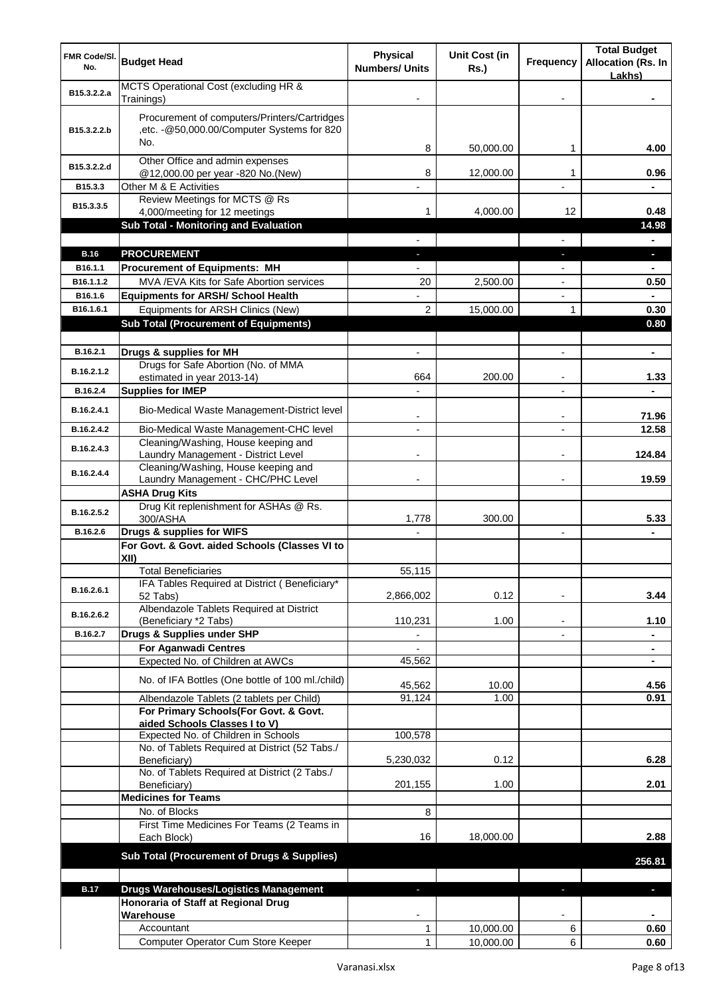| FMR Code/SI.<br>No.    | <b>Budget Head</b>                                                                                 | <b>Physical</b><br><b>Numbers/ Units</b> | <b>Unit Cost (in</b><br><b>Rs.)</b> | <b>Frequency</b>         | <b>Total Budget</b><br><b>Allocation (Rs. In</b><br>Lakhs) |
|------------------------|----------------------------------------------------------------------------------------------------|------------------------------------------|-------------------------------------|--------------------------|------------------------------------------------------------|
| B15.3.2.2.a            | MCTS Operational Cost (excluding HR &<br>Trainings)                                                |                                          |                                     |                          |                                                            |
| B15.3.2.2.b            | Procurement of computers/Printers/Cartridges<br>,etc. - @50,000.00/Computer Systems for 820<br>No. |                                          |                                     |                          |                                                            |
| B15.3.2.2.d            | Other Office and admin expenses                                                                    | 8                                        | 50,000.00                           | 1                        | 4.00                                                       |
| B15.3.3                | @12,000.00 per year -820 No.(New)<br>Other M & E Activities                                        | 8<br>$\overline{\phantom{m}}$            | 12,000.00                           | 1<br>٠                   | 0.96                                                       |
| B15.3.3.5              | Review Meetings for MCTS @ Rs<br>4,000/meeting for 12 meetings                                     | 1                                        | 4,000.00                            | 12                       | 0.48                                                       |
|                        | Sub Total - Monitoring and Evaluation                                                              |                                          |                                     |                          | 14.98                                                      |
|                        |                                                                                                    |                                          |                                     |                          |                                                            |
| <b>B.16</b><br>B16.1.1 | <b>PROCUREMENT</b><br><b>Procurement of Equipments: MH</b>                                         |                                          |                                     | r.                       | L.                                                         |
| B16.1.1.2              | MVA / EVA Kits for Safe Abortion services                                                          | 20                                       | 2,500.00                            |                          | 0.50                                                       |
| B16.1.6                | <b>Equipments for ARSH/ School Health</b>                                                          |                                          |                                     |                          |                                                            |
| B16.1.6.1              | Equipments for ARSH Clinics (New)                                                                  | $\overline{2}$                           | 15,000.00                           | 1                        | 0.30                                                       |
|                        | <b>Sub Total (Procurement of Equipments)</b>                                                       |                                          |                                     |                          | 0.80                                                       |
|                        |                                                                                                    |                                          |                                     |                          |                                                            |
| B.16.2.1               | Drugs & supplies for MH                                                                            |                                          |                                     |                          | $\blacksquare$                                             |
| B.16.2.1.2             | Drugs for Safe Abortion (No. of MMA                                                                |                                          |                                     |                          |                                                            |
| B.16.2.4               | estimated in year 2013-14)<br><b>Supplies for IMEP</b>                                             | 664                                      | 200.00                              |                          | 1.33                                                       |
| B.16.2.4.1             | Bio-Medical Waste Management-District level                                                        |                                          |                                     |                          |                                                            |
|                        |                                                                                                    |                                          |                                     |                          | 71.96                                                      |
| B.16.2.4.2             | Bio-Medical Waste Management-CHC level<br>Cleaning/Washing, House keeping and                      | $\blacksquare$                           |                                     | $\overline{a}$           | 12.58                                                      |
| B.16.2.4.3             | Laundry Management - District Level                                                                |                                          |                                     |                          | 124.84                                                     |
| B.16.2.4.4             | Cleaning/Washing, House keeping and<br>Laundry Management - CHC/PHC Level                          |                                          |                                     | $\overline{\phantom{0}}$ | 19.59                                                      |
|                        | <b>ASHA Drug Kits</b>                                                                              |                                          |                                     |                          |                                                            |
| B.16.2.5.2             | Drug Kit replenishment for ASHAs @ Rs.<br>300/ASHA                                                 | 1,778                                    | 300.00                              |                          | 5.33                                                       |
| B.16.2.6               | Drugs & supplies for WIFS                                                                          |                                          |                                     | $\overline{a}$           |                                                            |
|                        | For Govt. & Govt. aided Schools (Classes VI to                                                     |                                          |                                     |                          |                                                            |
|                        | XII)                                                                                               |                                          |                                     |                          |                                                            |
|                        | <b>Total Beneficiaries</b><br>IFA Tables Required at District (Beneficiary*                        | 55,115                                   |                                     |                          |                                                            |
| B.16.2.6.1             | 52 Tabs)                                                                                           | 2,866,002                                | 0.12                                |                          | 3.44                                                       |
| B.16.2.6.2             | Albendazole Tablets Required at District<br>(Beneficiary *2 Tabs)                                  | 110,231                                  | 1.00                                | $\overline{\phantom{a}}$ | 1.10                                                       |
| B.16.2.7               | Drugs & Supplies under SHP                                                                         | $\overline{\phantom{a}}$                 |                                     | $\overline{\phantom{a}}$ | $\blacksquare$                                             |
|                        | <b>For Aganwadi Centres</b>                                                                        |                                          |                                     |                          | $\blacksquare$                                             |
|                        | Expected No. of Children at AWCs                                                                   | 45,562                                   |                                     |                          | $\blacksquare$                                             |
|                        | No. of IFA Bottles (One bottle of 100 ml./child)                                                   | 45,562                                   | 10.00                               |                          | 4.56                                                       |
|                        | Albendazole Tablets (2 tablets per Child)                                                          | 91,124                                   | 1.00                                |                          | 0.91                                                       |
|                        | For Primary Schools(For Govt. & Govt.                                                              |                                          |                                     |                          |                                                            |
|                        | aided Schools Classes I to V)<br>Expected No. of Children in Schools                               | 100,578                                  |                                     |                          |                                                            |
|                        | No. of Tablets Required at District (52 Tabs./                                                     |                                          |                                     |                          |                                                            |
|                        | Beneficiary)                                                                                       | 5,230,032                                | 0.12                                |                          | 6.28                                                       |
|                        | No. of Tablets Required at District (2 Tabs./<br>Beneficiary)                                      | 201,155                                  | 1.00                                |                          | 2.01                                                       |
|                        | <b>Medicines for Teams</b>                                                                         |                                          |                                     |                          |                                                            |
|                        | No. of Blocks                                                                                      | 8                                        |                                     |                          |                                                            |
|                        | First Time Medicines For Teams (2 Teams in<br>Each Block)                                          | 16                                       | 18,000.00                           |                          | 2.88                                                       |
|                        | Sub Total (Procurement of Drugs & Supplies)                                                        |                                          |                                     |                          | 256.81                                                     |
|                        |                                                                                                    |                                          |                                     |                          |                                                            |
| <b>B.17</b>            | <b>Drugs Warehouses/Logistics Management</b>                                                       |                                          |                                     | ÷,                       | J,                                                         |
|                        | Honoraria of Staff at Regional Drug                                                                |                                          |                                     |                          |                                                            |
|                        | Warehouse                                                                                          |                                          |                                     |                          |                                                            |
|                        | Accountant<br>Computer Operator Cum Store Keeper                                                   | 1<br>1                                   | 10,000.00<br>10,000.00              | 6<br>6                   | 0.60<br>0.60                                               |
|                        |                                                                                                    |                                          |                                     |                          |                                                            |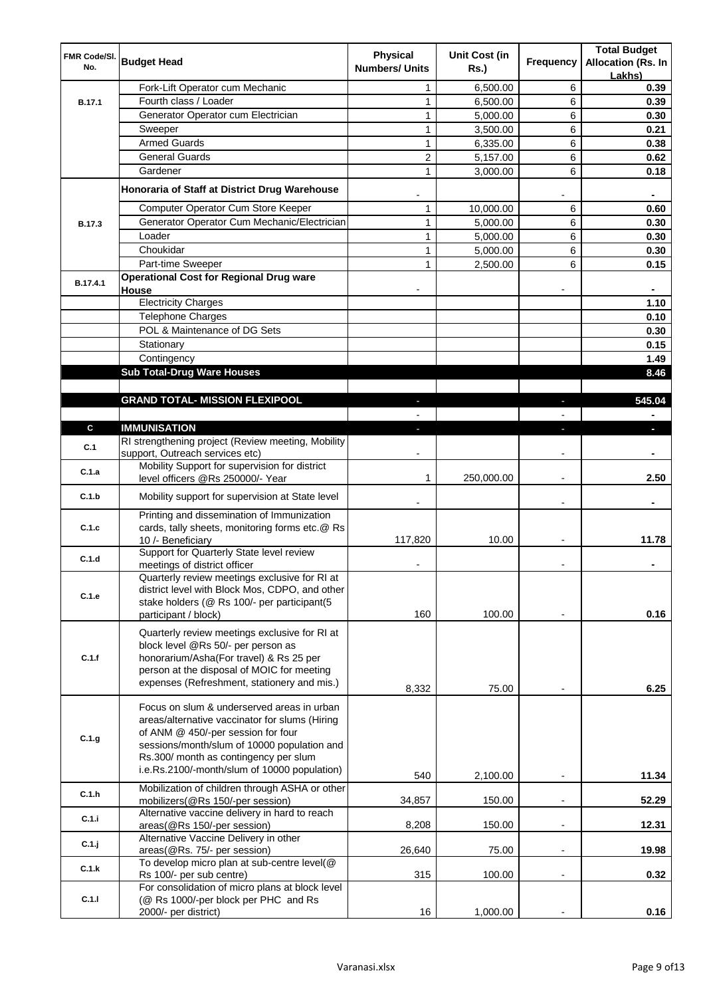| FMR Code/SI.  | <b>Budget Head</b>                                                                                                                                                                                                                                                         | <b>Physical</b>         | Unit Cost (in | Frequency                | <b>Total Budget</b><br><b>Allocation (Rs. In</b> |
|---------------|----------------------------------------------------------------------------------------------------------------------------------------------------------------------------------------------------------------------------------------------------------------------------|-------------------------|---------------|--------------------------|--------------------------------------------------|
| No.           |                                                                                                                                                                                                                                                                            | <b>Numbers/ Units</b>   | <b>Rs.)</b>   |                          | Lakhs)                                           |
|               | Fork-Lift Operator cum Mechanic                                                                                                                                                                                                                                            | 1                       | 6,500.00      | 6                        | 0.39                                             |
| B.17.1        | Fourth class / Loader                                                                                                                                                                                                                                                      | 1                       | 6,500.00      | 6                        | 0.39                                             |
|               | Generator Operator cum Electrician                                                                                                                                                                                                                                         | 1                       | 5,000.00      | 6                        | 0.30                                             |
|               | Sweeper                                                                                                                                                                                                                                                                    | 1                       | 3,500.00      | 6                        | 0.21                                             |
|               | <b>Armed Guards</b>                                                                                                                                                                                                                                                        | 1                       | 6,335.00      | 6                        | 0.38                                             |
|               | <b>General Guards</b>                                                                                                                                                                                                                                                      | $\overline{\mathbf{c}}$ | 5,157.00      | 6                        | 0.62                                             |
|               | Gardener                                                                                                                                                                                                                                                                   | 1                       | 3,000.00      | 6                        | 0.18                                             |
|               | Honoraria of Staff at District Drug Warehouse                                                                                                                                                                                                                              |                         |               |                          | ٠                                                |
|               | Computer Operator Cum Store Keeper                                                                                                                                                                                                                                         | 1                       | 10,000.00     | 6                        | 0.60                                             |
| <b>B.17.3</b> | Generator Operator Cum Mechanic/Electrician                                                                                                                                                                                                                                | 1                       | 5,000.00      | 6                        | 0.30                                             |
|               | Loader                                                                                                                                                                                                                                                                     | 1                       | 5,000.00      | 6                        | 0.30                                             |
|               | Choukidar                                                                                                                                                                                                                                                                  | 1                       | 5,000.00      | 6                        | 0.30                                             |
|               | Part-time Sweeper                                                                                                                                                                                                                                                          | 1                       | 2,500.00      | 6                        | 0.15                                             |
| B.17.4.1      | <b>Operational Cost for Regional Drug ware</b><br>House                                                                                                                                                                                                                    |                         |               |                          |                                                  |
|               | <b>Electricity Charges</b>                                                                                                                                                                                                                                                 |                         |               |                          | 1.10                                             |
|               | <b>Telephone Charges</b>                                                                                                                                                                                                                                                   |                         |               |                          | 0.10                                             |
|               | POL & Maintenance of DG Sets                                                                                                                                                                                                                                               |                         |               |                          | 0.30                                             |
|               | Stationary                                                                                                                                                                                                                                                                 |                         |               |                          | 0.15                                             |
|               | Contingency                                                                                                                                                                                                                                                                |                         |               |                          | 1.49                                             |
|               | <b>Sub Total-Drug Ware Houses</b>                                                                                                                                                                                                                                          |                         |               |                          | 8.46                                             |
|               |                                                                                                                                                                                                                                                                            |                         |               |                          |                                                  |
|               | <b>GRAND TOTAL- MISSION FLEXIPOOL</b>                                                                                                                                                                                                                                      | $\blacksquare$          |               | J,                       | 545.04                                           |
|               |                                                                                                                                                                                                                                                                            | $\blacksquare$          |               | $\overline{a}$           |                                                  |
| C             | <b>IMMUNISATION</b>                                                                                                                                                                                                                                                        | a.                      |               | J,                       | $\overline{\phantom{a}}$                         |
| C.1           | RI strengthening project (Review meeting, Mobility<br>support, Outreach services etc)                                                                                                                                                                                      |                         |               |                          |                                                  |
| C.1.a         | Mobility Support for supervision for district<br>level officers @Rs 250000/- Year                                                                                                                                                                                          | 1                       | 250,000.00    | $\overline{\phantom{a}}$ | 2.50                                             |
| C.1.b         | Mobility support for supervision at State level                                                                                                                                                                                                                            |                         |               |                          |                                                  |
|               | Printing and dissemination of Immunization                                                                                                                                                                                                                                 |                         |               |                          |                                                  |
| C.1.c         | cards, tally sheets, monitoring forms etc.@ Rs<br>10 /- Beneficiary                                                                                                                                                                                                        | 117,820                 | 10.00         |                          | 11.78                                            |
|               | Support for Quarterly State level review                                                                                                                                                                                                                                   |                         |               |                          |                                                  |
| C.1.d         | meetings of district officer                                                                                                                                                                                                                                               |                         |               |                          |                                                  |
| C.1.e         | Quarterly review meetings exclusive for RI at<br>district level with Block Mos, CDPO, and other<br>stake holders (@ Rs 100/- per participant(5                                                                                                                             |                         |               |                          |                                                  |
|               | participant / block)                                                                                                                                                                                                                                                       | 160                     | 100.00        |                          | 0.16                                             |
| C.1.f         | Quarterly review meetings exclusive for RI at<br>block level @Rs 50/- per person as<br>honorarium/Asha(For travel) & Rs 25 per<br>person at the disposal of MOIC for meeting<br>expenses (Refreshment, stationery and mis.)                                                | 8,332                   | 75.00         |                          | 6.25                                             |
|               |                                                                                                                                                                                                                                                                            |                         |               |                          |                                                  |
| C.1.g         | Focus on slum & underserved areas in urban<br>areas/alternative vaccinator for slums (Hiring<br>of ANM @ 450/-per session for four<br>sessions/month/slum of 10000 population and<br>Rs.300/ month as contingency per slum<br>i.e.Rs.2100/-month/slum of 10000 population) | 540                     | 2,100.00      |                          | 11.34                                            |
| C.1.h         | Mobilization of children through ASHA or other                                                                                                                                                                                                                             | 34,857                  | 150.00        |                          | 52.29                                            |
| C.1.i         | mobilizers (@Rs 150/-per session)<br>Alternative vaccine delivery in hard to reach                                                                                                                                                                                         |                         |               |                          |                                                  |
|               | areas(@Rs 150/-per session)<br>Alternative Vaccine Delivery in other                                                                                                                                                                                                       | 8,208                   | 150.00        |                          | 12.31                                            |
| C.1.j         | areas(@Rs. 75/- per session)<br>To develop micro plan at sub-centre level(@                                                                                                                                                                                                | 26,640                  | 75.00         |                          | 19.98                                            |
| C.1.k         | Rs 100/- per sub centre)                                                                                                                                                                                                                                                   | 315                     | 100.00        |                          | 0.32                                             |
| C.1.1         | For consolidation of micro plans at block level<br>(@ Rs 1000/-per block per PHC and Rs                                                                                                                                                                                    |                         |               |                          |                                                  |
|               | 2000/- per district)                                                                                                                                                                                                                                                       | 16                      | 1,000.00      |                          | 0.16                                             |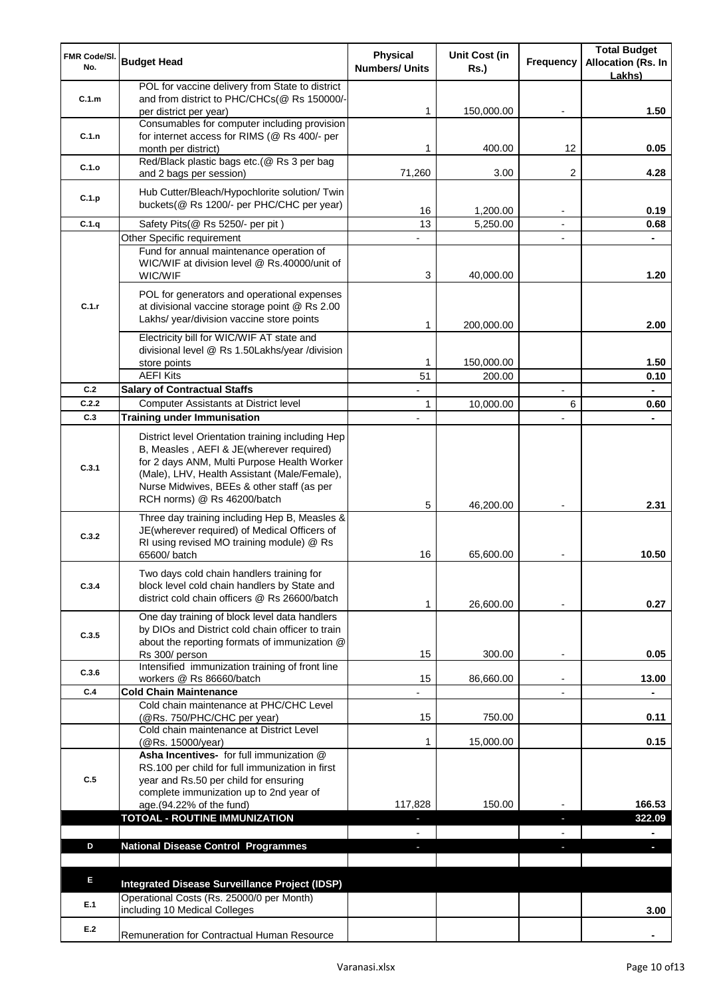| FMR Code/SI.<br>No. | <b>Budget Head</b>                                                                                                                                                                                                                                                        | <b>Physical</b><br><b>Numbers/ Units</b> | Unit Cost (in<br><b>Rs.)</b> | Frequency                | <b>Total Budget</b><br><b>Allocation (Rs. In</b><br>Lakhs) |
|---------------------|---------------------------------------------------------------------------------------------------------------------------------------------------------------------------------------------------------------------------------------------------------------------------|------------------------------------------|------------------------------|--------------------------|------------------------------------------------------------|
| C.1.m               | POL for vaccine delivery from State to district<br>and from district to PHC/CHCs(@ Rs 150000/-<br>per district per year)                                                                                                                                                  |                                          | 150,000.00                   |                          | 1.50                                                       |
| C.1.n               | Consumables for computer including provision<br>for internet access for RIMS (@ Rs 400/- per<br>month per district)                                                                                                                                                       | 1                                        | 400.00                       | 12                       | 0.05                                                       |
| C.1.o               | Red/Black plastic bags etc.(@ Rs 3 per bag<br>and 2 bags per session)                                                                                                                                                                                                     | 71,260                                   | 3.00                         | 2                        | 4.28                                                       |
| C.1.p               | Hub Cutter/Bleach/Hypochlorite solution/ Twin<br>buckets(@ Rs 1200/- per PHC/CHC per year)                                                                                                                                                                                | 16                                       | 1,200.00                     |                          | 0.19                                                       |
| C.1.q               | Safety Pits(@ Rs 5250/- per pit)                                                                                                                                                                                                                                          | 13                                       | 5,250.00                     |                          | 0.68                                                       |
|                     | Other Specific requirement                                                                                                                                                                                                                                                |                                          |                              |                          |                                                            |
|                     | Fund for annual maintenance operation of<br>WIC/WIF at division level @ Rs.40000/unit of<br>WIC/WIF                                                                                                                                                                       | 3                                        | 40,000.00                    |                          | 1.20                                                       |
| C.1.r               | POL for generators and operational expenses<br>at divisional vaccine storage point @ Rs 2.00<br>Lakhs/ year/division vaccine store points                                                                                                                                 | 1                                        | 200,000.00                   |                          | 2.00                                                       |
|                     | Electricity bill for WIC/WIF AT state and<br>divisional level @ Rs 1.50Lakhs/year /division                                                                                                                                                                               |                                          |                              |                          |                                                            |
|                     | store points                                                                                                                                                                                                                                                              | 1                                        | 150,000.00                   |                          | 1.50                                                       |
|                     | <b>AEFI Kits</b>                                                                                                                                                                                                                                                          | 51                                       | 200.00                       |                          | 0.10                                                       |
| C.2                 | <b>Salary of Contractual Staffs</b>                                                                                                                                                                                                                                       |                                          |                              |                          |                                                            |
| C.2.2<br>C.3        | <b>Computer Assistants at District level</b><br><b>Training under Immunisation</b>                                                                                                                                                                                        | 1                                        | 10,000.00                    | 6                        | 0.60                                                       |
|                     |                                                                                                                                                                                                                                                                           |                                          |                              |                          |                                                            |
| C.3.1               | District level Orientation training including Hep<br>B, Measles, AEFI & JE(wherever required)<br>for 2 days ANM, Multi Purpose Health Worker<br>(Male), LHV, Health Assistant (Male/Female),<br>Nurse Midwives, BEEs & other staff (as per<br>RCH norms) @ Rs 46200/batch |                                          |                              |                          |                                                            |
| C.3.2               | Three day training including Hep B, Measles &<br>JE(wherever required) of Medical Officers of<br>RI using revised MO training module) @ Rs                                                                                                                                | 5                                        | 46,200.00                    |                          | 2.31                                                       |
|                     | 65600/ batch                                                                                                                                                                                                                                                              | 16                                       | 65,600.00                    |                          | 10.50                                                      |
| C.3.4               | Two days cold chain handlers training for<br>block level cold chain handlers by State and<br>district cold chain officers @ Rs 26600/batch                                                                                                                                | 1                                        | 26,600.00                    |                          | 0.27                                                       |
| C.3.5               | One day training of block level data handlers<br>by DIOs and District cold chain officer to train<br>about the reporting formats of immunization @<br>Rs 300/ person                                                                                                      | 15                                       | 300.00                       | $\overline{\phantom{a}}$ | 0.05                                                       |
| C.3.6               | Intensified immunization training of front line<br>workers @ Rs 86660/batch                                                                                                                                                                                               | 15                                       | 86,660.00                    |                          | 13.00                                                      |
| C.4                 | <b>Cold Chain Maintenance</b>                                                                                                                                                                                                                                             |                                          |                              | $\overline{a}$           |                                                            |
|                     | Cold chain maintenance at PHC/CHC Level<br>(@Rs. 750/PHC/CHC per year)                                                                                                                                                                                                    | 15                                       | 750.00                       |                          | 0.11                                                       |
|                     | Cold chain maintenance at District Level<br>(@Rs. 15000/year)                                                                                                                                                                                                             | 1                                        | 15,000.00                    |                          | 0.15                                                       |
| C.5                 | Asha Incentives- for full immunization @<br>RS.100 per child for full immunization in first<br>year and Rs.50 per child for ensuring<br>complete immunization up to 2nd year of<br>age.(94.22% of the fund)                                                               | 117,828                                  | 150.00                       |                          | 166.53                                                     |
|                     | <b>TOTOAL - ROUTINE IMMUNIZATION</b>                                                                                                                                                                                                                                      | $\blacksquare$                           |                              | ٠                        | 322.09                                                     |
| D                   | <b>National Disease Control Programmes</b>                                                                                                                                                                                                                                | $\overline{\phantom{a}}$<br>٠            |                              | J,                       | $\blacksquare$<br>J,                                       |
|                     |                                                                                                                                                                                                                                                                           |                                          |                              |                          |                                                            |
| E.                  | Integrated Disease Surveillance Project (IDSP)                                                                                                                                                                                                                            |                                          |                              |                          |                                                            |
| E.1                 | Operational Costs (Rs. 25000/0 per Month)<br>including 10 Medical Colleges                                                                                                                                                                                                |                                          |                              |                          | 3.00                                                       |
| E.2                 | Remuneration for Contractual Human Resource                                                                                                                                                                                                                               |                                          |                              |                          |                                                            |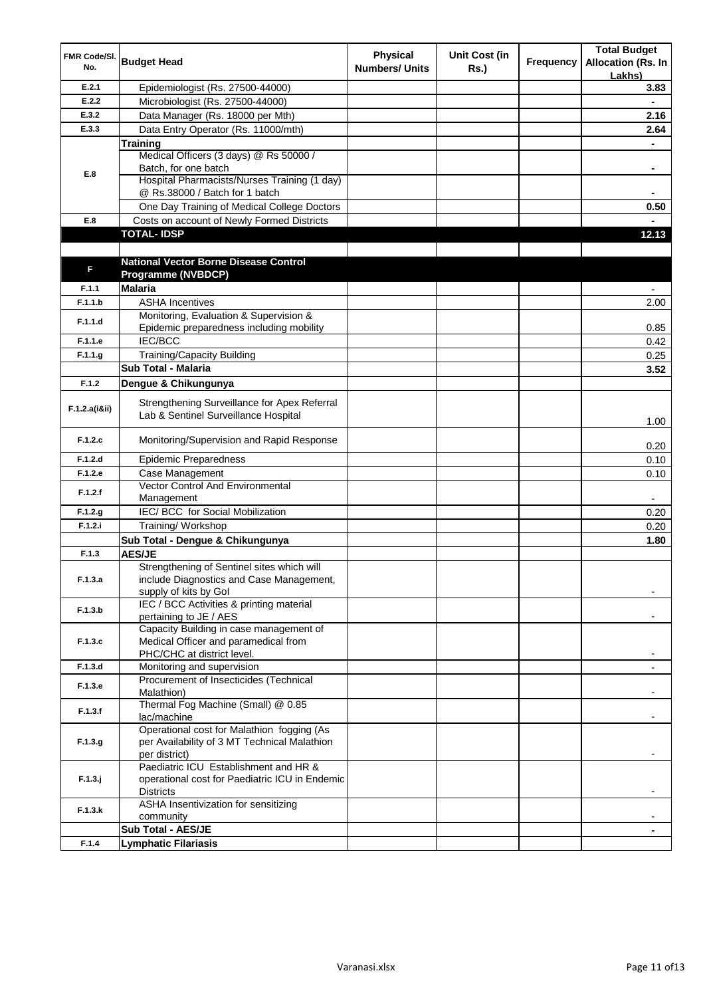| FMR Code/SI.<br>No. | <b>Budget Head</b>                                                                     | <b>Physical</b><br><b>Numbers/ Units</b> | <b>Unit Cost (in</b><br><b>Rs.)</b> | <b>Frequency</b> | <b>Total Budget</b><br><b>Allocation (Rs. In</b><br>Lakhs) |
|---------------------|----------------------------------------------------------------------------------------|------------------------------------------|-------------------------------------|------------------|------------------------------------------------------------|
| E.2.1               | Epidemiologist (Rs. 27500-44000)                                                       |                                          |                                     |                  | 3.83                                                       |
| E.2.2               | Microbiologist (Rs. 27500-44000)                                                       |                                          |                                     |                  | $\blacksquare$                                             |
| E.3.2               | Data Manager (Rs. 18000 per Mth)                                                       |                                          |                                     |                  | 2.16                                                       |
| E.3.3               | Data Entry Operator (Rs. 11000/mth)                                                    |                                          |                                     |                  | 2.64                                                       |
|                     | <b>Training</b>                                                                        |                                          |                                     |                  | $\blacksquare$                                             |
|                     | Medical Officers (3 days) @ Rs 50000 /                                                 |                                          |                                     |                  |                                                            |
| E.8                 | Batch, for one batch                                                                   |                                          |                                     |                  | ۰                                                          |
|                     | Hospital Pharmacists/Nurses Training (1 day)                                           |                                          |                                     |                  |                                                            |
|                     | @ Rs.38000 / Batch for 1 batch                                                         |                                          |                                     |                  | ۰                                                          |
|                     | One Day Training of Medical College Doctors                                            |                                          |                                     |                  | 0.50                                                       |
| E.8                 | Costs on account of Newly Formed Districts<br><b>TOTAL-IDSP</b>                        |                                          |                                     |                  |                                                            |
|                     |                                                                                        |                                          |                                     |                  | 12.13                                                      |
|                     | <b>National Vector Borne Disease Control</b>                                           |                                          |                                     |                  |                                                            |
| F                   | <b>Programme (NVBDCP)</b>                                                              |                                          |                                     |                  |                                                            |
| F.1.1               | <b>Malaria</b>                                                                         |                                          |                                     |                  |                                                            |
| F.1.1.b             | <b>ASHA Incentives</b>                                                                 |                                          |                                     |                  | 2.00                                                       |
|                     | Monitoring, Evaluation & Supervision &                                                 |                                          |                                     |                  |                                                            |
| F.1.1.d             | Epidemic preparedness including mobility                                               |                                          |                                     |                  | 0.85                                                       |
| F.1.1.e             | <b>IEC/BCC</b>                                                                         |                                          |                                     |                  | 0.42                                                       |
| F.1.1.g             | Training/Capacity Building                                                             |                                          |                                     |                  | 0.25                                                       |
|                     | Sub Total - Malaria                                                                    |                                          |                                     |                  | 3.52                                                       |
| F.1.2               | Dengue & Chikungunya                                                                   |                                          |                                     |                  |                                                            |
|                     | Strengthening Surveillance for Apex Referral                                           |                                          |                                     |                  |                                                            |
| F.1.2.a(i8ii)       | Lab & Sentinel Surveillance Hospital                                                   |                                          |                                     |                  | 1.00                                                       |
| F.1.2.c             | Monitoring/Supervision and Rapid Response                                              |                                          |                                     |                  | 0.20                                                       |
| F.1.2.d             | <b>Epidemic Preparedness</b>                                                           |                                          |                                     |                  | 0.10                                                       |
| F.1.2.e             | Case Management                                                                        |                                          |                                     |                  | 0.10                                                       |
| F.1.2.f             | Vector Control And Environmental                                                       |                                          |                                     |                  |                                                            |
|                     | Management                                                                             |                                          |                                     |                  | $\blacksquare$                                             |
| F.1.2.g             | IEC/ BCC for Social Mobilization                                                       |                                          |                                     |                  | 0.20                                                       |
| F.1.2.i             | Training/ Workshop                                                                     |                                          |                                     |                  | 0.20                                                       |
|                     | Sub Total - Dengue & Chikungunya                                                       |                                          |                                     |                  | 1.80                                                       |
| F.1.3               | <b>AES/JE</b>                                                                          |                                          |                                     |                  |                                                            |
| F.1.3.a             | Strengthening of Sentinel sites which will<br>include Diagnostics and Case Management, |                                          |                                     |                  |                                                            |
|                     | supply of kits by Gol                                                                  |                                          |                                     |                  |                                                            |
|                     | IEC / BCC Activities & printing material                                               |                                          |                                     |                  |                                                            |
| F.1.3.b             | pertaining to JE / AES                                                                 |                                          |                                     |                  |                                                            |
|                     | Capacity Building in case management of                                                |                                          |                                     |                  |                                                            |
| F.1.3.c             | Medical Officer and paramedical from                                                   |                                          |                                     |                  |                                                            |
|                     | PHC/CHC at district level.                                                             |                                          |                                     |                  |                                                            |
| F.1.3.d             | Monitoring and supervision                                                             |                                          |                                     |                  |                                                            |
| F.1.3.e             | Procurement of Insecticides (Technical<br>Malathion)                                   |                                          |                                     |                  |                                                            |
|                     | Thermal Fog Machine (Small) @ 0.85                                                     |                                          |                                     |                  |                                                            |
| F.1.3.f             | lac/machine                                                                            |                                          |                                     |                  |                                                            |
|                     | Operational cost for Malathion fogging (As                                             |                                          |                                     |                  |                                                            |
| F.1.3.g.            | per Availability of 3 MT Technical Malathion                                           |                                          |                                     |                  |                                                            |
|                     | per district)                                                                          |                                          |                                     |                  | ۰.                                                         |
|                     | Paediatric ICU Establishment and HR &                                                  |                                          |                                     |                  |                                                            |
| $F.1.3.$ j          | operational cost for Paediatric ICU in Endemic                                         |                                          |                                     |                  |                                                            |
|                     | <b>Districts</b><br>ASHA Insentivization for sensitizing                               |                                          |                                     |                  |                                                            |
| F.1.3.k             | community                                                                              |                                          |                                     |                  |                                                            |
|                     | <b>Sub Total - AES/JE</b>                                                              |                                          |                                     |                  |                                                            |
| F.1.4               | <b>Lymphatic Filariasis</b>                                                            |                                          |                                     |                  |                                                            |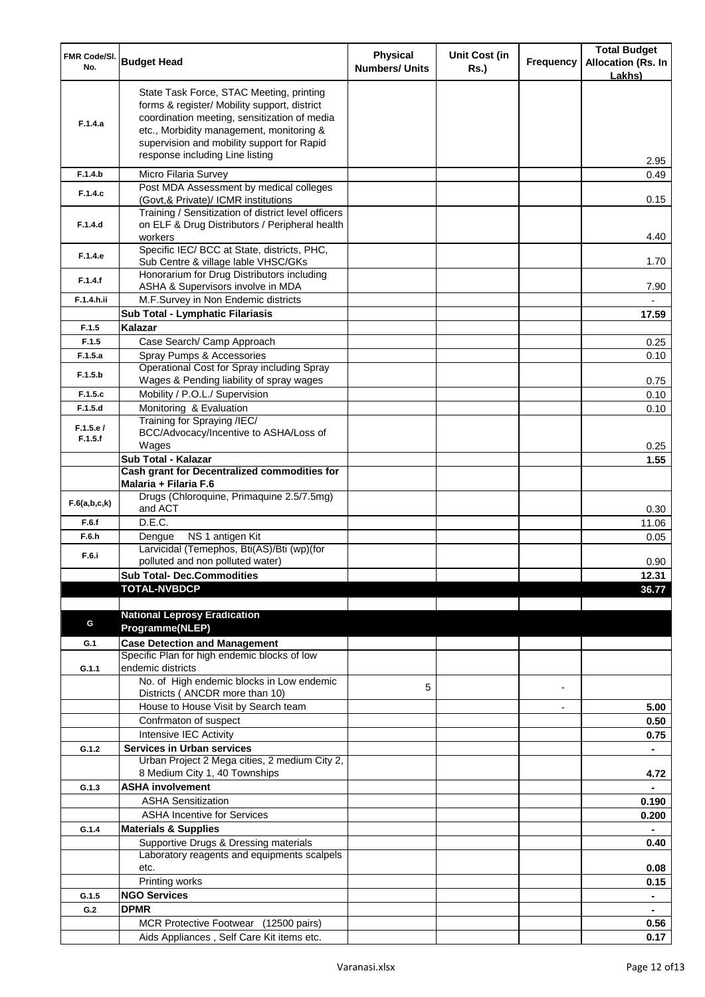| FMR Code/SI.<br>No. | <b>Budget Head</b>                                                                                                                                                                                                                                                    | <b>Physical</b><br><b>Numbers/ Units</b> | <b>Unit Cost (in</b><br><b>Rs.</b> ) | Frequency      | <b>Total Budget</b><br><b>Allocation (Rs. In</b><br>Lakhs) |
|---------------------|-----------------------------------------------------------------------------------------------------------------------------------------------------------------------------------------------------------------------------------------------------------------------|------------------------------------------|--------------------------------------|----------------|------------------------------------------------------------|
| F.1.4.a             | State Task Force, STAC Meeting, printing<br>forms & register/ Mobility support, district<br>coordination meeting, sensitization of media<br>etc., Morbidity management, monitoring &<br>supervision and mobility support for Rapid<br>response including Line listing |                                          |                                      |                | 2.95                                                       |
| F.1.4.b             | Micro Filaria Survey                                                                                                                                                                                                                                                  |                                          |                                      |                | 0.49                                                       |
| F.1.4.c             | Post MDA Assessment by medical colleges                                                                                                                                                                                                                               |                                          |                                      |                |                                                            |
| F.1.4.d             | (Govt,& Private)/ ICMR institutions<br>Training / Sensitization of district level officers<br>on ELF & Drug Distributors / Peripheral health<br>workers                                                                                                               |                                          |                                      |                | 0.15<br>4.40                                               |
| F.1.4.e             | Specific IEC/ BCC at State, districts, PHC,<br>Sub Centre & village lable VHSC/GKs                                                                                                                                                                                    |                                          |                                      |                | 1.70                                                       |
| F.1.4.f             | Honorarium for Drug Distributors including<br>ASHA & Supervisors involve in MDA                                                                                                                                                                                       |                                          |                                      |                | 7.90                                                       |
| F.1.4.h.ii          | M.F.Survey in Non Endemic districts                                                                                                                                                                                                                                   |                                          |                                      |                |                                                            |
|                     | Sub Total - Lymphatic Filariasis                                                                                                                                                                                                                                      |                                          |                                      |                | 17.59                                                      |
| F.1.5               | Kalazar                                                                                                                                                                                                                                                               |                                          |                                      |                |                                                            |
| F.1.5               | Case Search/ Camp Approach                                                                                                                                                                                                                                            |                                          |                                      |                | 0.25                                                       |
| F.1.5.a             | Spray Pumps & Accessories                                                                                                                                                                                                                                             |                                          |                                      |                | 0.10                                                       |
| F.1.5.b             | Operational Cost for Spray including Spray<br>Wages & Pending liability of spray wages                                                                                                                                                                                |                                          |                                      |                | 0.75                                                       |
| F.1.5.c             | Mobility / P.O.L./ Supervision                                                                                                                                                                                                                                        |                                          |                                      |                | 0.10                                                       |
| F.1.5.d             | Monitoring & Evaluation                                                                                                                                                                                                                                               |                                          |                                      |                | 0.10                                                       |
| F.1.5.e/            | Training for Spraying /IEC/<br>BCC/Advocacy/Incentive to ASHA/Loss of                                                                                                                                                                                                 |                                          |                                      |                |                                                            |
| F.1.5.f             | Wages                                                                                                                                                                                                                                                                 |                                          |                                      |                | 0.25                                                       |
|                     | Sub Total - Kalazar                                                                                                                                                                                                                                                   |                                          |                                      |                | 1.55                                                       |
|                     | Cash grant for Decentralized commodities for                                                                                                                                                                                                                          |                                          |                                      |                |                                                            |
|                     | Malaria + Filaria F.6                                                                                                                                                                                                                                                 |                                          |                                      |                |                                                            |
| F.6(a,b,c,k)        | Drugs (Chloroquine, Primaquine 2.5/7.5mg)<br>and ACT                                                                                                                                                                                                                  |                                          |                                      |                | 0.30                                                       |
| F.6.f               | D.E.C.                                                                                                                                                                                                                                                                |                                          |                                      |                | 11.06                                                      |
| F.6.h               | Dengue<br>NS 1 antigen Kit                                                                                                                                                                                                                                            |                                          |                                      |                | 0.05                                                       |
| F.6.i               | Larvicidal (Temephos, Bti(AS)/Bti (wp)(for<br>polluted and non polluted water)                                                                                                                                                                                        |                                          |                                      |                | 0.90                                                       |
|                     | <b>Sub Total- Dec.Commodities</b>                                                                                                                                                                                                                                     |                                          |                                      |                | 12.31                                                      |
|                     | <b>TOTAL-NVBDCP</b>                                                                                                                                                                                                                                                   |                                          |                                      |                | 36.77                                                      |
|                     |                                                                                                                                                                                                                                                                       |                                          |                                      |                |                                                            |
| G                   | <b>National Leprosy Eradication</b><br>Programme(NLEP)                                                                                                                                                                                                                |                                          |                                      |                |                                                            |
| G.1                 | <b>Case Detection and Management</b>                                                                                                                                                                                                                                  |                                          |                                      |                |                                                            |
|                     | Specific Plan for high endemic blocks of low                                                                                                                                                                                                                          |                                          |                                      |                |                                                            |
| G.1.1               | endemic districts                                                                                                                                                                                                                                                     |                                          |                                      |                |                                                            |
|                     | No. of High endemic blocks in Low endemic                                                                                                                                                                                                                             | 5                                        |                                      |                |                                                            |
|                     | Districts ( ANCDR more than 10)                                                                                                                                                                                                                                       |                                          |                                      |                |                                                            |
|                     | House to House Visit by Search team<br>Confrmaton of suspect                                                                                                                                                                                                          |                                          |                                      | $\overline{a}$ | 5.00<br>0.50                                               |
|                     | Intensive IEC Activity                                                                                                                                                                                                                                                |                                          |                                      |                | 0.75                                                       |
| G.1.2               | <b>Services in Urban services</b>                                                                                                                                                                                                                                     |                                          |                                      |                | $\blacksquare$                                             |
|                     | Urban Project 2 Mega cities, 2 medium City 2,                                                                                                                                                                                                                         |                                          |                                      |                |                                                            |
|                     | 8 Medium City 1, 40 Townships                                                                                                                                                                                                                                         |                                          |                                      |                | 4.72                                                       |
| G.1.3               | <b>ASHA involvement</b>                                                                                                                                                                                                                                               |                                          |                                      |                |                                                            |
|                     | <b>ASHA Sensitization</b><br><b>ASHA Incentive for Services</b>                                                                                                                                                                                                       |                                          |                                      |                | 0.190                                                      |
| G.1.4               | <b>Materials &amp; Supplies</b>                                                                                                                                                                                                                                       |                                          |                                      |                | 0.200                                                      |
|                     | Supportive Drugs & Dressing materials                                                                                                                                                                                                                                 |                                          |                                      |                | 0.40                                                       |
|                     | Laboratory reagents and equipments scalpels                                                                                                                                                                                                                           |                                          |                                      |                |                                                            |
|                     | etc.                                                                                                                                                                                                                                                                  |                                          |                                      |                | 0.08                                                       |
|                     | Printing works                                                                                                                                                                                                                                                        |                                          |                                      |                | 0.15                                                       |
| G.1.5               | <b>NGO Services</b><br><b>DPMR</b>                                                                                                                                                                                                                                    |                                          |                                      |                |                                                            |
| G.2                 | MCR Protective Footwear (12500 pairs)                                                                                                                                                                                                                                 |                                          |                                      |                | 0.56                                                       |
|                     | Aids Appliances, Self Care Kit items etc.                                                                                                                                                                                                                             |                                          |                                      |                | 0.17                                                       |